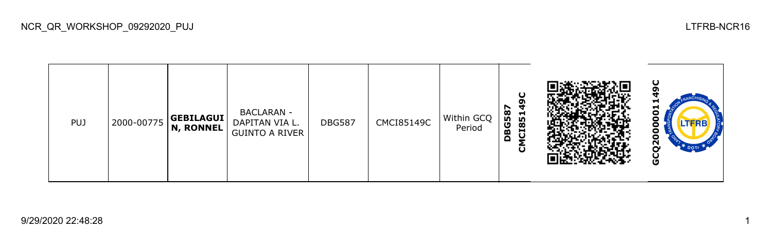| PUJ | 2000-00775 | GEBILAGUI<br>$ N,$ RONNEL $ $ | <b>BACLARAN -</b><br>DAPITAN VIA L.<br><b>GUINTO A RIVER</b> | <b>DBG587</b> | CMCI85149C | Within GCQ<br>Period | 587<br>ч<br><u> 명</u><br>BG<br>C18<br>$\Omega$<br>ပ |  | −<br>−<br>TERB<br>o<br>$\mathbf{z}$<br>DOTT<br>o |
|-----|------------|-------------------------------|--------------------------------------------------------------|---------------|------------|----------------------|-----------------------------------------------------|--|--------------------------------------------------|
|-----|------------|-------------------------------|--------------------------------------------------------------|---------------|------------|----------------------|-----------------------------------------------------|--|--------------------------------------------------|

NCR\_QR\_WORKSHOP\_09292020\_PUJ LTFRB-NCR16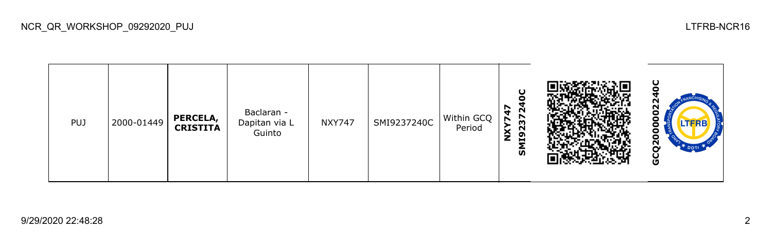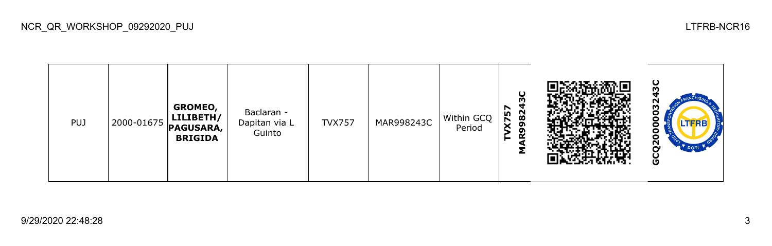NCR\_QR\_WORKSHOP\_09292020\_PUJ LTFRB-NCR16

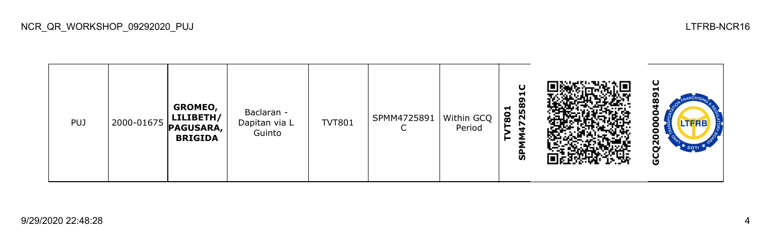NCR\_QR\_WORKSHOP\_09292020\_PUJ LTFRB-NCR16

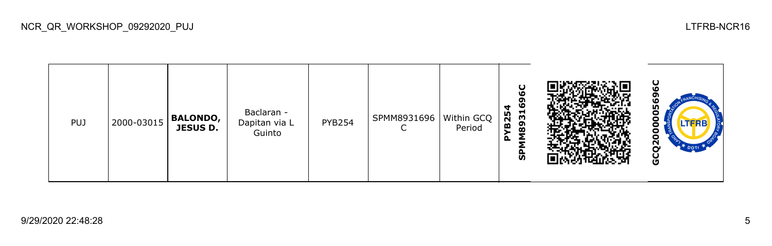

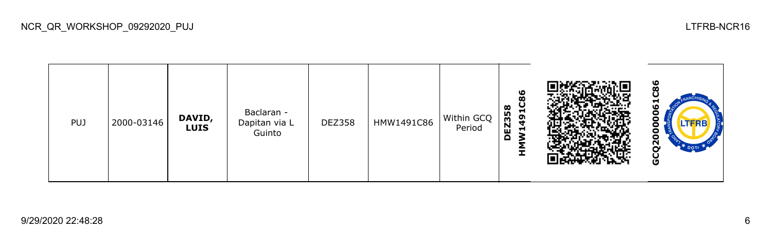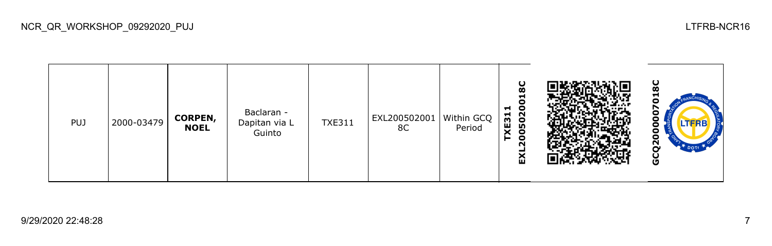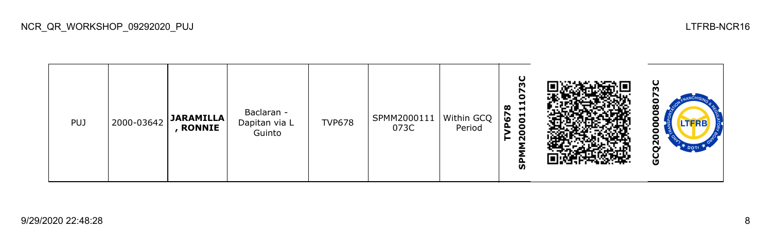

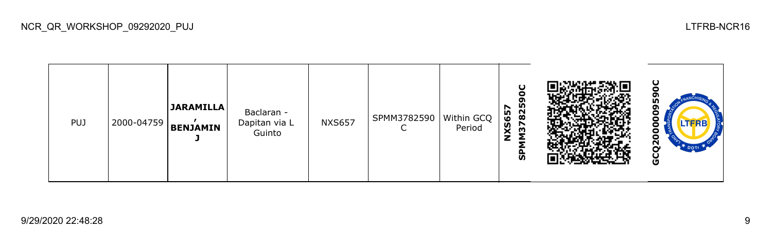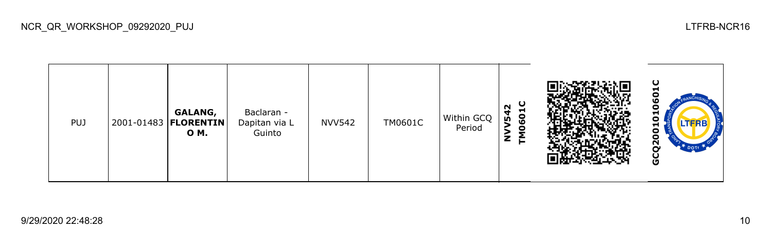| <b>PUJ</b> |  | GALANG,<br>2001-01483   <b>FLORENTIN</b><br>O M. | Baclaran -<br>Dapitan via L<br>Guinto | <b>NVV542</b> | TM0601C | Within GCQ<br>Period | ပ<br>N<br>$\blacksquare$<br><u>င</u><br><b>ID</b><br>ο<br>z |  | ပ<br>-<br>ο<br>⊣<br>o<br>LTFRB<br>−<br>o<br>o<br>ū<br>O |
|------------|--|--------------------------------------------------|---------------------------------------|---------------|---------|----------------------|-------------------------------------------------------------|--|---------------------------------------------------------|
|------------|--|--------------------------------------------------|---------------------------------------|---------------|---------|----------------------|-------------------------------------------------------------|--|---------------------------------------------------------|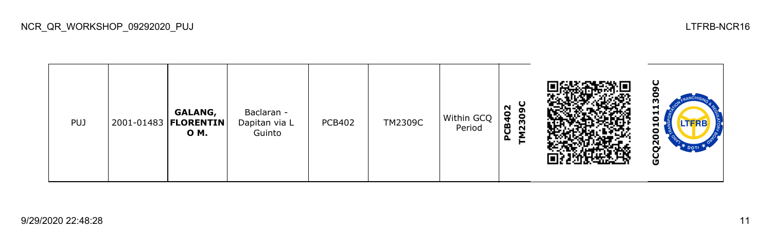| <b>PUJ</b> |  | GALANG,<br>2001-01483   <b>FLORENTIN</b><br>O M. | Baclaran -<br>Dapitan via L<br>Guinto | <b>PCB402</b> | TM2309C | Within GCQ<br>Period | ပ္စ<br>N<br>$\bullet$<br>1230<br>Ч<br>≃<br>ပ<br>௨ |  | ပ<br>m<br>-<br>-<br>-<br>o<br><u>ኢ</u><br>o |
|------------|--|--------------------------------------------------|---------------------------------------|---------------|---------|----------------------|---------------------------------------------------|--|---------------------------------------------|
|------------|--|--------------------------------------------------|---------------------------------------|---------------|---------|----------------------|---------------------------------------------------|--|---------------------------------------------|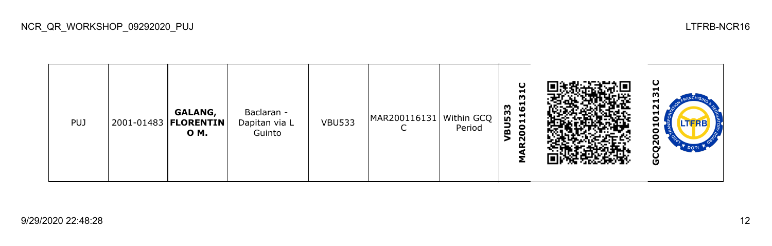| <b>PUJ</b> |  | <b>GALANG,</b><br>2001-01483   <b>FLORENTIN</b><br>O M. | Baclaran -<br>Dapitan via L<br>Guinto | <b>VBU533</b> | MAR200116131   Within GCQ | Period | ပ<br>51<br><u>ය</u><br>533<br>$\blacksquare$<br>001<br>品<br>N |  | ပ<br>⊣<br>⊣<br>N<br>ដ<br><b>LTFRB</b><br>⊣<br>o<br>o<br>ี<br>O |
|------------|--|---------------------------------------------------------|---------------------------------------|---------------|---------------------------|--------|---------------------------------------------------------------|--|----------------------------------------------------------------|
|------------|--|---------------------------------------------------------|---------------------------------------|---------------|---------------------------|--------|---------------------------------------------------------------|--|----------------------------------------------------------------|

NCR\_QR\_WORKSHOP\_09292020\_PUJ LTFRB-NCR16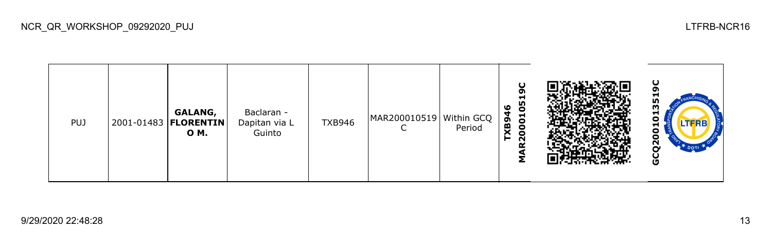| <b>PUJ</b> |  | GALANG,<br>2001-01483   FLORENTIN  <br><b>OM.</b> | Baclaran -<br>Dapitan via L<br>Guinto | <b>TXB946</b> | MAR200010519 Within GCQ $\begin{bmatrix} 8 \\ 2 \\ 1 \end{bmatrix}$ |  | ပ<br>o<br>Н<br>90<br>ಀ<br>001<br>$\bullet$<br>N<br>C. |  | ပ<br>ດາ<br>−<br>m<br>m<br>o<br>LTERB<br>o<br>N<br>DOTE<br>O |
|------------|--|---------------------------------------------------|---------------------------------------|---------------|---------------------------------------------------------------------|--|-------------------------------------------------------|--|-------------------------------------------------------------|
|------------|--|---------------------------------------------------|---------------------------------------|---------------|---------------------------------------------------------------------|--|-------------------------------------------------------|--|-------------------------------------------------------------|

NCR\_QR\_WORKSHOP\_09292020\_PUJ LTFRB-NCR16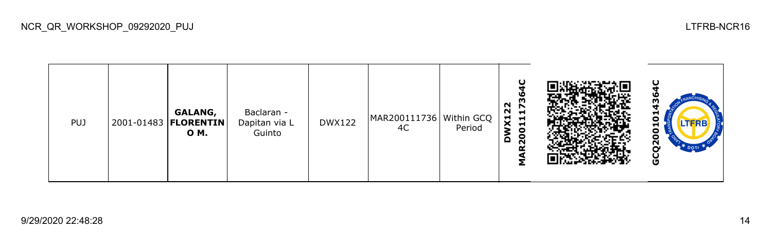| <b>PUJ</b> |  | GALANG,<br>2001-01483   <b>FLORENTIN</b><br>0 M. | Baclaran -<br>Dapitan via L<br>Guinto | <b>DWX122</b> | $MAR200111736 \mid \text{Within GCQ} \mid \mathbf{X} \cdot \mathbf{A}$<br>4C | Period | O<br>w<br>m<br>22<br>$\blacktriangleright$<br>$\mathbf{1}$<br>$\blacksquare$<br>$\bullet$<br>20 |  | −<br>с<br>LTERB<br>o<br>Ο<br>2S<br>o |
|------------|--|--------------------------------------------------|---------------------------------------|---------------|------------------------------------------------------------------------------|--------|-------------------------------------------------------------------------------------------------|--|--------------------------------------|
|------------|--|--------------------------------------------------|---------------------------------------|---------------|------------------------------------------------------------------------------|--------|-------------------------------------------------------------------------------------------------|--|--------------------------------------|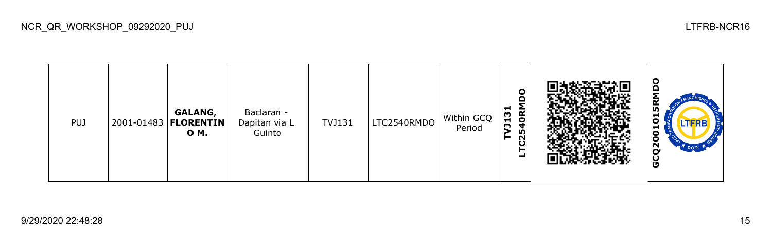**GCQ2001015RMDO**₹ **LTC2540RMDO TVJ131 GALANG,**  Baclaran - TVJ131 LTC2540RMDO Within GCQ Dapitan via L ៓ PUJ 2001-01483 **FLORENTIN** Period **O M.** Guinto GCQ200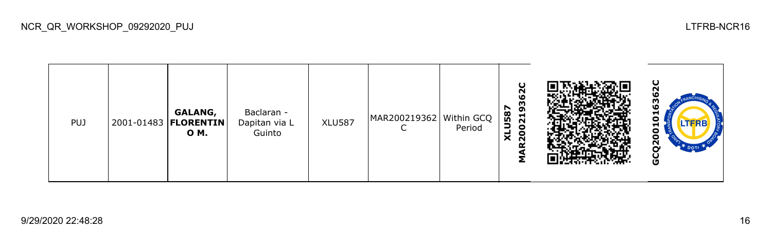| <b>PUJ</b> |  | GALANG,<br>2001-01483   <b>FLORENTIN</b><br>0 M. | Baclaran -<br>Dapitan via L<br>Guinto | <b>XLU587</b> | MAR200219362 Within GCQ | Period | င္မ<br>93<br>587<br>021<br>Э<br>о<br>$\times$<br>$\sim$ |  | −<br>Ξ<br>−<br>о<br>N<br>O |
|------------|--|--------------------------------------------------|---------------------------------------|---------------|-------------------------|--------|---------------------------------------------------------|--|----------------------------|
|------------|--|--------------------------------------------------|---------------------------------------|---------------|-------------------------|--------|---------------------------------------------------------|--|----------------------------|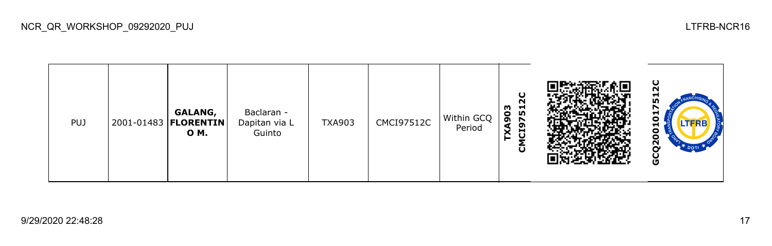| <b>PUJ</b> | 2001-01483   <b>FLORENTIN</b> | GALANG,<br>O M. | Baclaran -<br>Dapitan via L<br>Guinto | <b>TXA903</b> | <b>CMCI97512C</b> | Within GCQ<br>Period | r<br>m<br>751<br>$\mathbf{S}$<br>C <sub>19</sub><br>$\check{ }$<br>ပ |  | ပ<br>N<br>−<br><b>In</b><br>с<br>.TERB<br>-<br>с<br>ο<br>S2<br><b>DOT</b><br>u<br>O |
|------------|-------------------------------|-----------------|---------------------------------------|---------------|-------------------|----------------------|----------------------------------------------------------------------|--|-------------------------------------------------------------------------------------|
|------------|-------------------------------|-----------------|---------------------------------------|---------------|-------------------|----------------------|----------------------------------------------------------------------|--|-------------------------------------------------------------------------------------|

NCR\_QR\_WORKSHOP\_09292020\_PUJ LTFRB-NCR16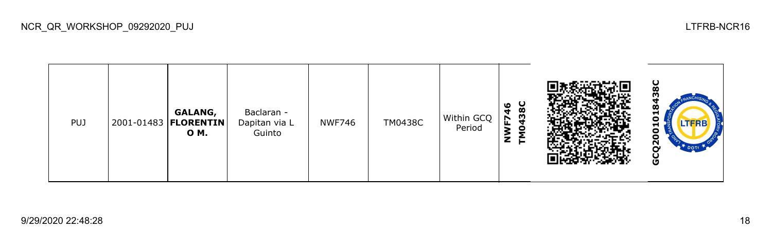| <b>PUJ</b> |  | GALANG,<br>2001-01483   <b>FLORENTIN</b><br>0 M. | Baclaran -<br>Dapitan via L<br>Guinto | <b>NWF746</b> | <b>TM0438C</b> | Within GCQ<br>Period | <b>138C</b><br>O<br>F74<br>z |  | ပ<br>Ō<br>−<br>г<br>c<br>N<br>O |
|------------|--|--------------------------------------------------|---------------------------------------|---------------|----------------|----------------------|------------------------------|--|---------------------------------|
|------------|--|--------------------------------------------------|---------------------------------------|---------------|----------------|----------------------|------------------------------|--|---------------------------------|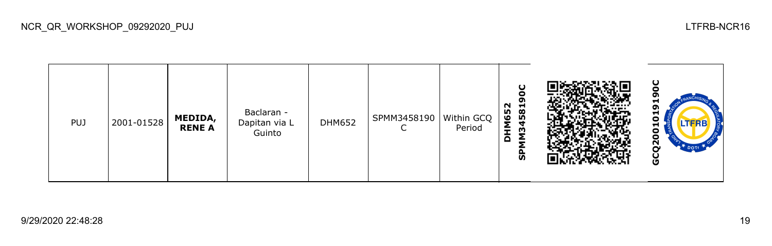

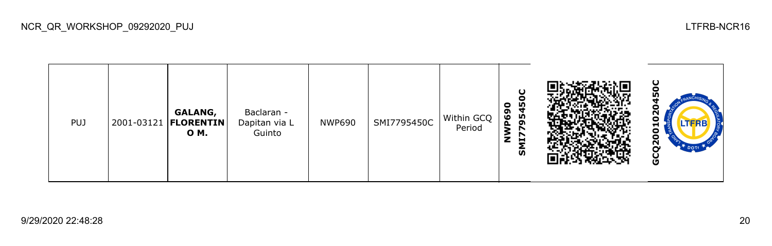| <b>PUJ</b> |  | GALANG,<br>2001-03121   FLORENTIN<br><b>OM.</b> | Baclaran -<br>Dapitan via L<br>Guinto | <b>NWP690</b> | SMI7795450C | Within GCQ<br>Period | 0<br>m<br>ຶ<br>Iņ,<br>$\tilde{S}$<br>໑<br>₹<br>z<br>Ħ<br>$\overline{v}$ |  | N<br>o<br>Ν<br>O |
|------------|--|-------------------------------------------------|---------------------------------------|---------------|-------------|----------------------|-------------------------------------------------------------------------|--|------------------|
|------------|--|-------------------------------------------------|---------------------------------------|---------------|-------------|----------------------|-------------------------------------------------------------------------|--|------------------|

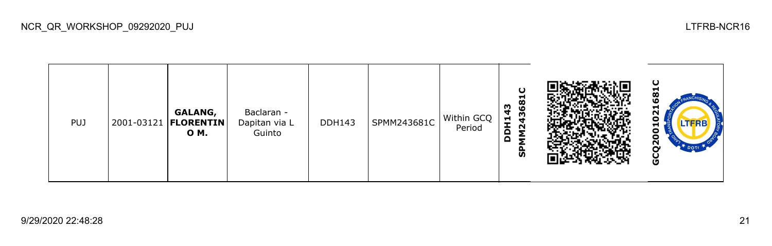**GCQ2001021681CSPMM243681C DDH143 GALANG,**  Baclaran - 8 DDH143 SPMM243681C Within GCQ Dapitan via L PUJ 2001-03121 **FLORENTIN** Period  $\overline{\mathbf{5}}$ **O M.** Guinto GCQ200

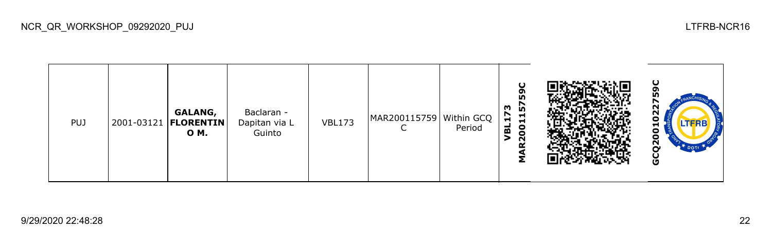| <b>PUJ</b> |  | GALANG,<br>  2001-03121   <b>FLORENTIN</b>  <br>O M. | Baclaran -<br>Dapitan via L<br>Guinto | <b>VBL173</b> | MAR200115759   Within GCQ | Period | ပ<br>ၵိ<br><u>ნ</u><br>ო<br>r<br>Н<br>ᆋ<br>001<br>ᆱ<br>N |  | ပ<br>N<br>n<br>ο<br>о<br>Ñ<br>DOT<br>O |
|------------|--|------------------------------------------------------|---------------------------------------|---------------|---------------------------|--------|----------------------------------------------------------|--|----------------------------------------|
|------------|--|------------------------------------------------------|---------------------------------------|---------------|---------------------------|--------|----------------------------------------------------------|--|----------------------------------------|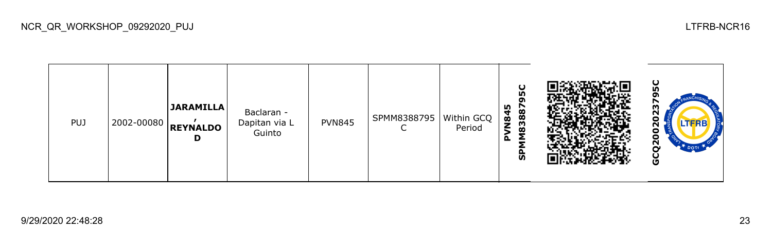| PUJ | 2002-00080 | JARAMILLA <br><b>REYNALDO</b><br>D | Baclaran -<br>Dapitan via L<br>Guinto | <b>PVN845</b> | SPMM8388795 | Within GCQ<br>Period | U<br>ın<br>n<br>83887<br><b>N84</b><br>௨<br>င္ဟ |  | 5C<br>m<br>с<br>പ്പ<br>DOT<br>ט |
|-----|------------|------------------------------------|---------------------------------------|---------------|-------------|----------------------|-------------------------------------------------|--|---------------------------------|
|-----|------------|------------------------------------|---------------------------------------|---------------|-------------|----------------------|-------------------------------------------------|--|---------------------------------|

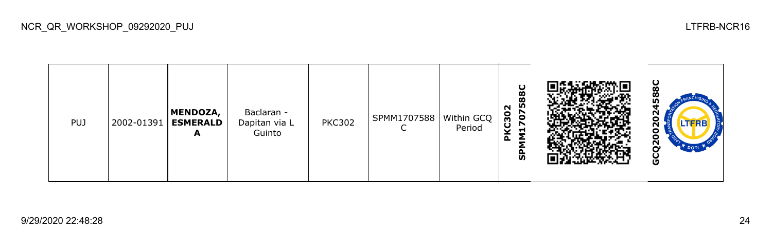| <b>PUJ</b> |  | <b>MENDOZA,</b><br>2002-01391   ESMERALD<br>A | Baclaran -<br>Dapitan via L<br>Guinto | <b>PKC302</b> | SPMM1707588 | Within GCQ  <br>Period | U<br>588<br>N<br>707<br>$\overline{C}30$<br>H<br>o<br><u>ທ</u> |  | $rac{6}{8}$<br>œ<br>ın<br>ี<br>o<br><b>LTFRBT</b><br>ี่<br>о<br>о<br>$\overline{2}$<br>DOTT<br>O |
|------------|--|-----------------------------------------------|---------------------------------------|---------------|-------------|------------------------|----------------------------------------------------------------|--|--------------------------------------------------------------------------------------------------|
|------------|--|-----------------------------------------------|---------------------------------------|---------------|-------------|------------------------|----------------------------------------------------------------|--|--------------------------------------------------------------------------------------------------|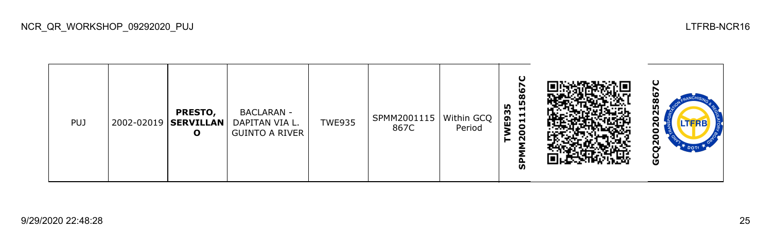| <b>PUJ</b> |  | <b>PRESTO,</b><br>2002-02019   SERVILLAN   <br>O | <b>BACLARAN -</b><br>DAPITAN VIA L.<br><b>GUINTO A RIVER</b> | <b>TWE935</b> | SPMM2001115   Within GCQ  <br>867C | Period | ပ<br>r<br>586<br>n<br>⊣<br>m<br>Н<br>ဌ<br>$\blacksquare$<br>g<br>$\sim$<br>ត |  | ပ<br>Ξ<br><b>LTFRB</b><br>N<br>о<br>Ο<br>Ñ<br>O |
|------------|--|--------------------------------------------------|--------------------------------------------------------------|---------------|------------------------------------|--------|------------------------------------------------------------------------------|--|-------------------------------------------------|
|------------|--|--------------------------------------------------|--------------------------------------------------------------|---------------|------------------------------------|--------|------------------------------------------------------------------------------|--|-------------------------------------------------|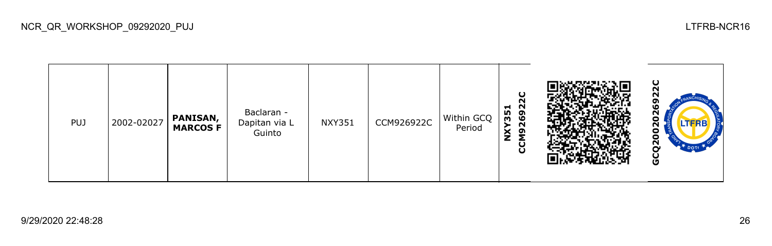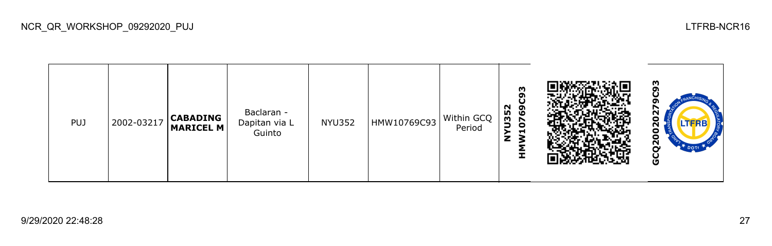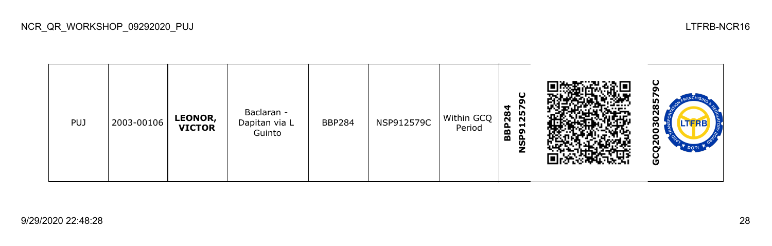

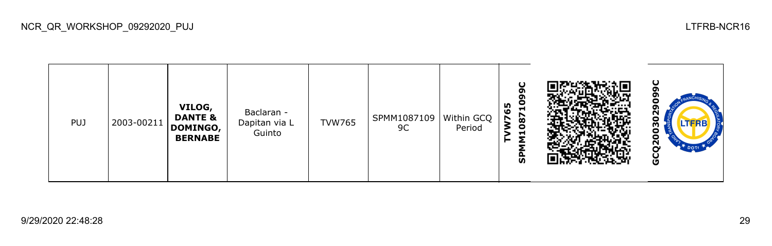**GCQ2003029099CSPMM10871099C VILOG, TVW765** σ Baclaran - 0302 **DANTE &**  TVW765 SPMM1087109 Within GCQ PUJ 2003-00211 Dapitan via L **DOMINGO,**  9C Period Guinto **BERNABE** GCQ20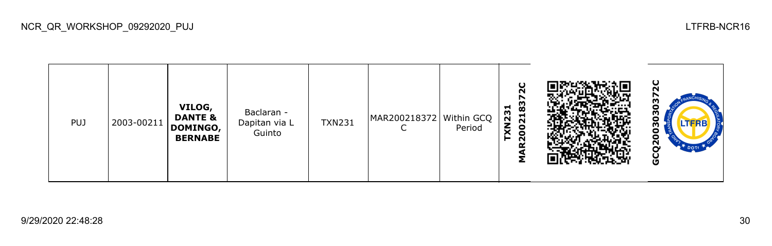ပ္လ **GCQ2003030372CMAR200218372C** N 030303 **VILOG, TXN231** Baclaran - **DANTE &**  TXN231 MAR200218372 Within GCQ PUJ 2003-00211 Dapitan via L **DOMINGO,**   $\mathsf{C}$ Period Guinto **BERNABE** GCQ20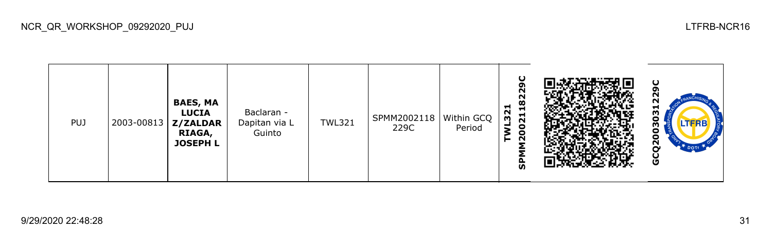| <b>PUJ</b> |  | <b>BAES, MA</b><br><b>LUCIA</b><br>2003-00813   Z/ZALDAR<br>RIAGA,<br><b>JOSEPH L</b> | Baclaran -<br>Dapitan via L<br>Guinto | <b>TWL321</b> | SPMM2002118   Within GCQ  <br>229C | Period | ပ<br>ຸດ<br>N<br>182<br>−<br>$\sim$<br>$\overline{21}$<br>$\overline{m}$<br>$\bullet$<br>$\bullet$<br>$\sim$<br><b>p</b><br>ត |  | ပ<br>თ<br>22<br>u<br>w<br>о<br><b>LTFRB</b><br>m<br>o<br>ō<br>$\tilde{\mathbf{S}}$<br><b>DOTA</b><br>မ္ပ |
|------------|--|---------------------------------------------------------------------------------------|---------------------------------------|---------------|------------------------------------|--------|------------------------------------------------------------------------------------------------------------------------------|--|----------------------------------------------------------------------------------------------------------|
|------------|--|---------------------------------------------------------------------------------------|---------------------------------------|---------------|------------------------------------|--------|------------------------------------------------------------------------------------------------------------------------------|--|----------------------------------------------------------------------------------------------------------|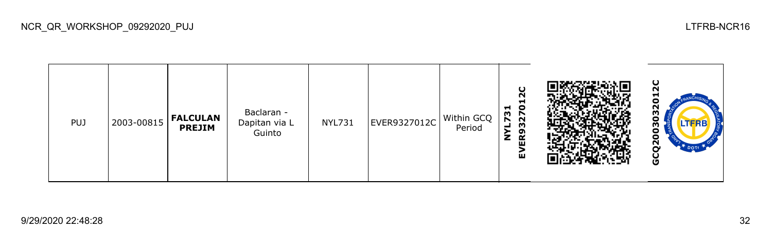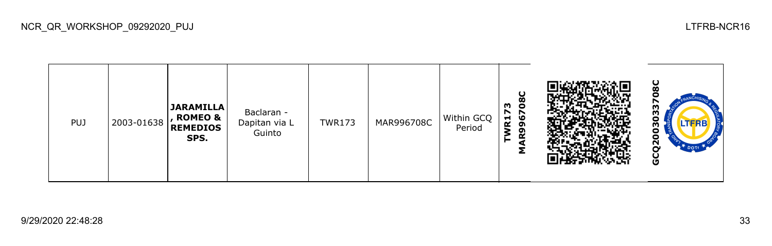

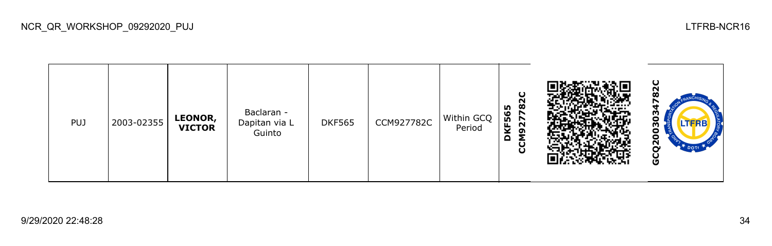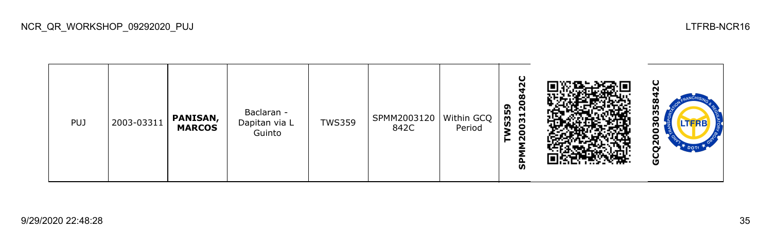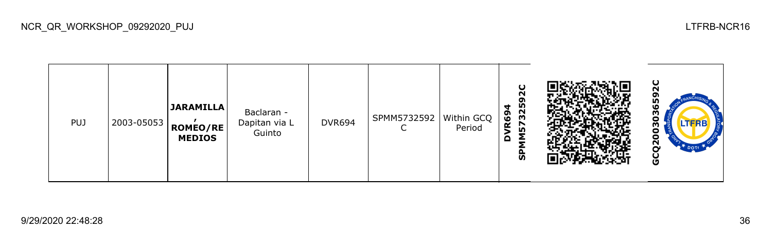

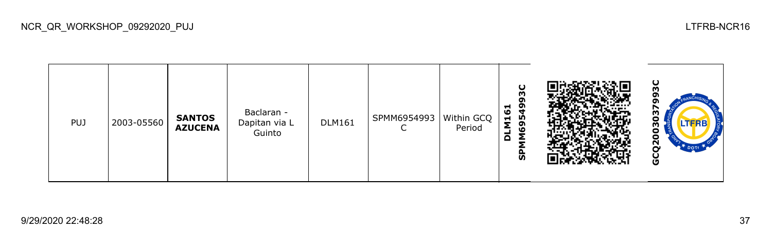| <b>PUJ</b> | 2003-05560 | <b>SANTOS</b><br><b>AZUCENA</b> | Baclaran -<br>Dapitan via L<br>Guinto | <b>DLM161</b> | SPMM6954993<br>∽<br>◡ | Within GCQ<br>Period | ပ<br>m<br>o<br>549<br>⊣<br>ಀ<br>$\blacksquare$<br>ຸດ<br>۱O<br>$\Omega$<br>╺<br>ჭ |  | ပ<br>m<br>m<br>o<br>m<br>o<br>$\mathbf{z}$<br>O |
|------------|------------|---------------------------------|---------------------------------------|---------------|-----------------------|----------------------|----------------------------------------------------------------------------------|--|-------------------------------------------------|
|------------|------------|---------------------------------|---------------------------------------|---------------|-----------------------|----------------------|----------------------------------------------------------------------------------|--|-------------------------------------------------|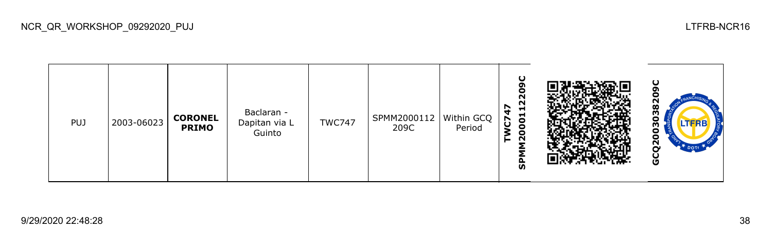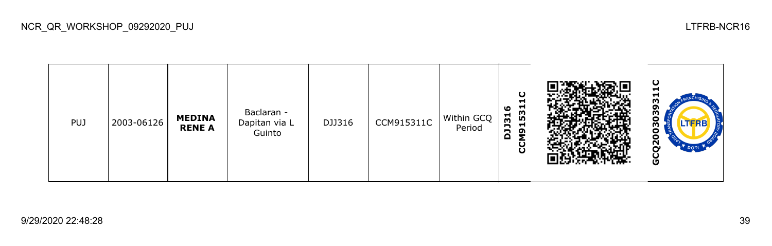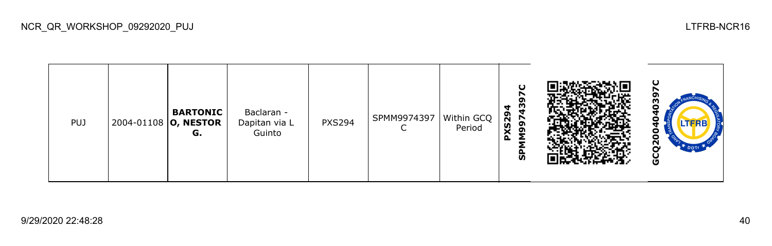| <b>PUJ</b> | 2004-01108 O, NESTOR | <b>BARTONIC</b><br>G. | Baclaran -<br>Dapitan via L<br>Guinto | <b>PXS294</b> | SPMM9974397 | Within GCQ  <br>Period | $\cup$<br>o<br>$\frac{3}{4}$<br>4<br><b>XS29</b><br>997<br>௨<br>ჭ |  | $\mathbf C$<br>TFRB.<br>N<br>O |
|------------|----------------------|-----------------------|---------------------------------------|---------------|-------------|------------------------|-------------------------------------------------------------------|--|--------------------------------|
|------------|----------------------|-----------------------|---------------------------------------|---------------|-------------|------------------------|-------------------------------------------------------------------|--|--------------------------------|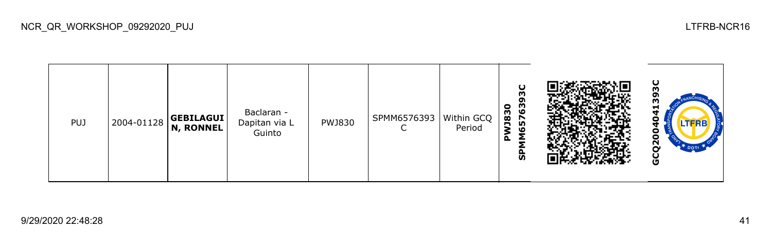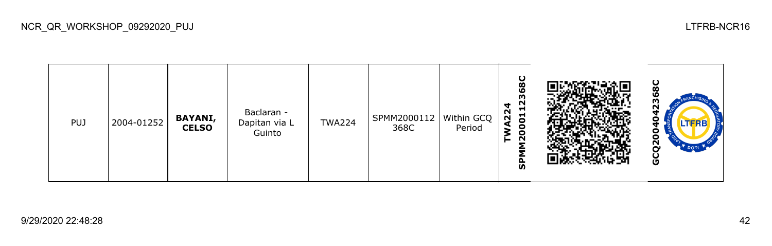

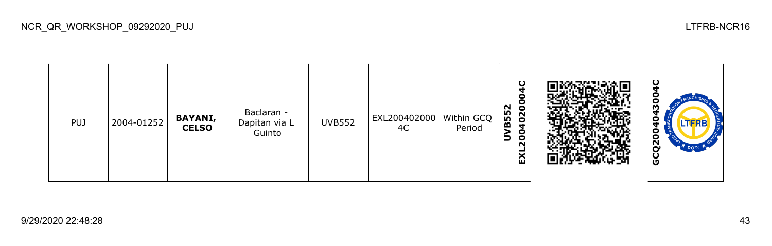

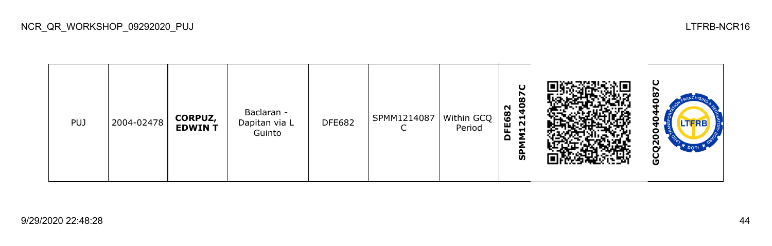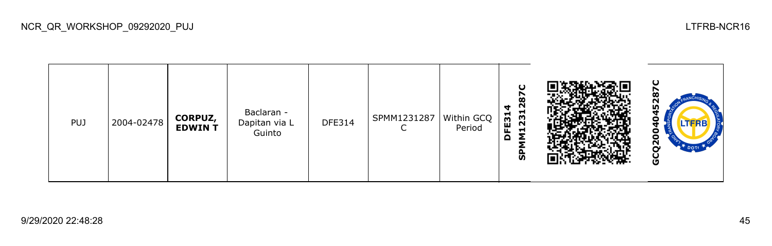

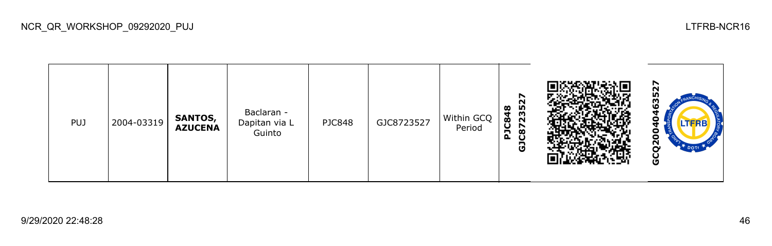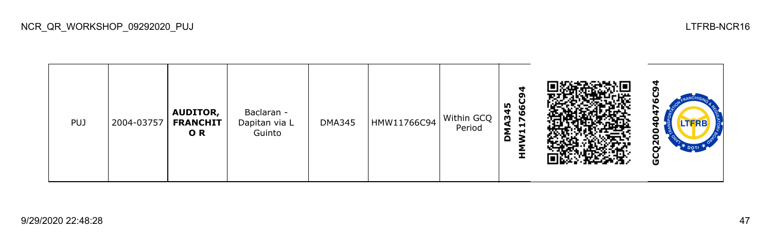| <b>PUJ</b> | 2004-03757 | <b>AUDITOR,</b><br><b>FRANCHIT</b><br>OR. | Baclaran -<br>Dapitan via L<br>Guinto | <b>DMA345</b> | HMW11766C94 | Within GCQ<br>Period | d<br>m<br>ဖ<br>Ō<br>ě<br>$\blacksquare$<br>Н<br>Н<br>3<br>≏<br>Ŧ |  | LTFRB<br>o<br>U<br>Ņ<br><b>DOTT</b><br>o |
|------------|------------|-------------------------------------------|---------------------------------------|---------------|-------------|----------------------|------------------------------------------------------------------|--|------------------------------------------|
|------------|------------|-------------------------------------------|---------------------------------------|---------------|-------------|----------------------|------------------------------------------------------------------|--|------------------------------------------|

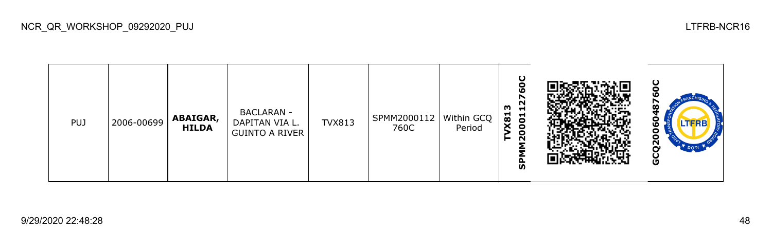| <b>PUJ</b> | 2006-00699 | ABAIGAR,<br><b>HILDA</b> | <b>BACLARAN -</b><br>DAPITAN VIA L.<br><b>GUINTO A RIVER</b> | <b>TVX813</b> | SPMM2000112<br>760C | Within GCQ<br>Period | ŏ<br><b>LO</b><br>$\sim$<br>w<br>⊣<br>X81<br>001<br>$\bullet$<br>$\sim$<br>►<br>ທ |  | ပ<br>œ<br>LTFRB<br>о<br>N<br>DOT<br>O |
|------------|------------|--------------------------|--------------------------------------------------------------|---------------|---------------------|----------------------|-----------------------------------------------------------------------------------|--|---------------------------------------|
|------------|------------|--------------------------|--------------------------------------------------------------|---------------|---------------------|----------------------|-----------------------------------------------------------------------------------|--|---------------------------------------|

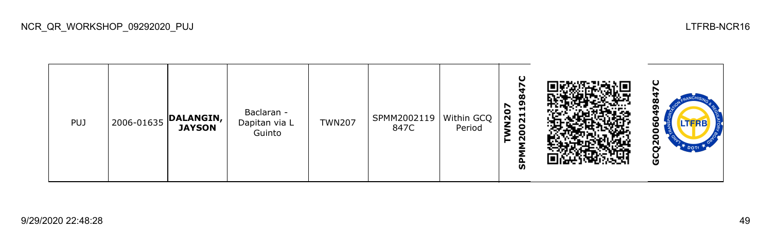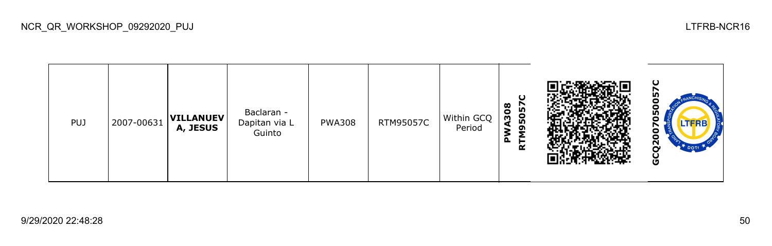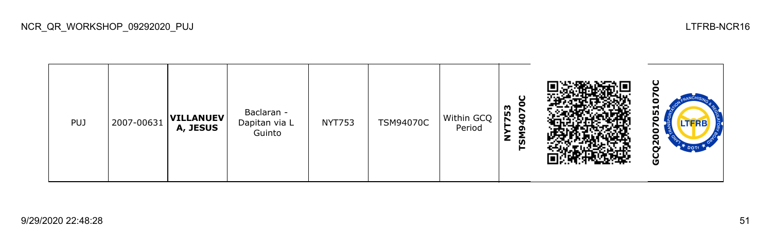

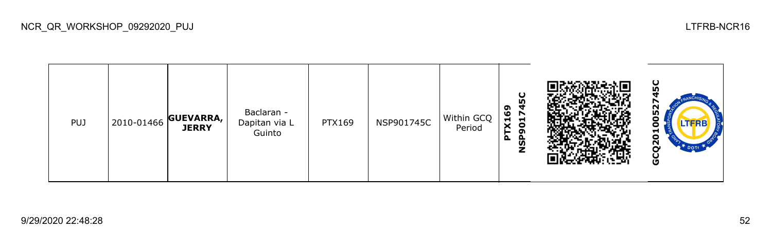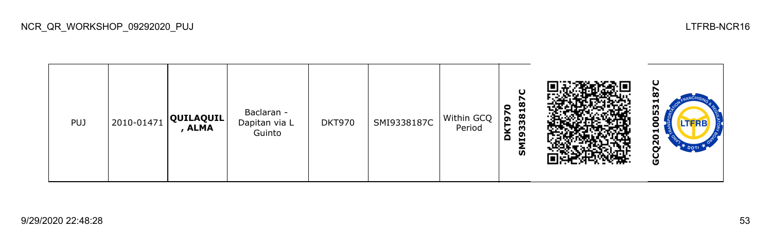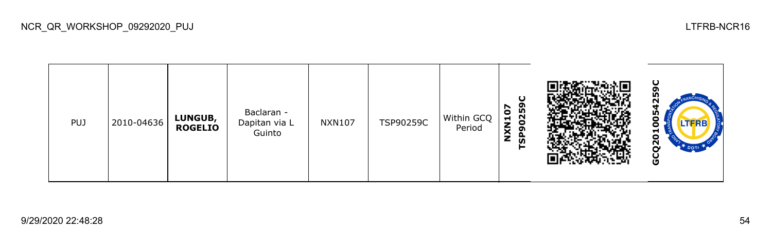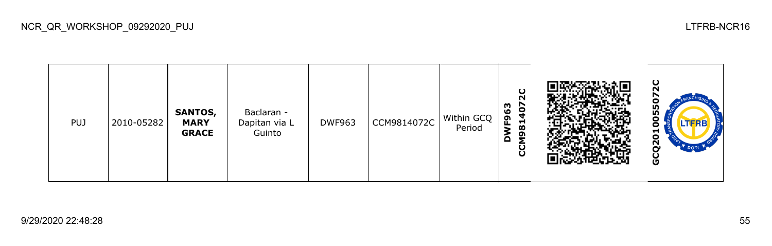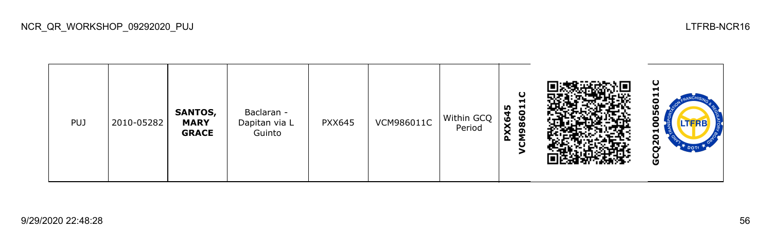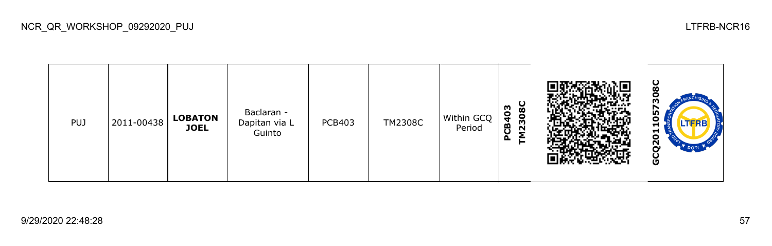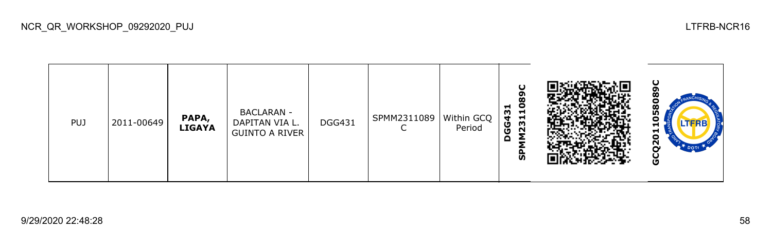| <b>PUJ</b> | 2011-00649 | PAPA,<br><b>LIGAYA</b> | <b>BACLARAN -</b><br>DAPITAN VIA L.<br>GUINTO A RIVER | <b>DGG431</b> | SPMM2311089<br>◡ | Within GCQ<br>Period | O<br>89<br>$\overline{a}$<br>H.<br>GG43<br>231<br>Σ<br>$\Omega$<br>င္ဟ |  | ပ<br>o<br>о<br>58<br>o<br>.TFRE<br>−<br>ដ<br>$\overline{a}$<br>DOT <sub>T</sub><br>o |
|------------|------------|------------------------|-------------------------------------------------------|---------------|------------------|----------------------|------------------------------------------------------------------------|--|--------------------------------------------------------------------------------------|
|------------|------------|------------------------|-------------------------------------------------------|---------------|------------------|----------------------|------------------------------------------------------------------------|--|--------------------------------------------------------------------------------------|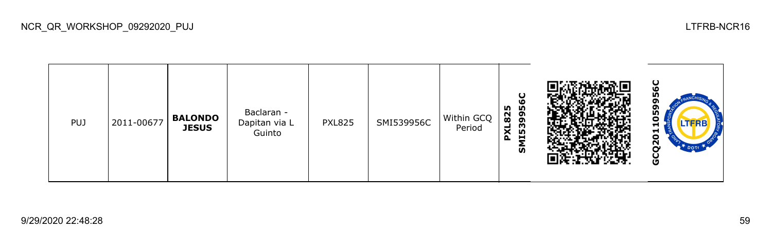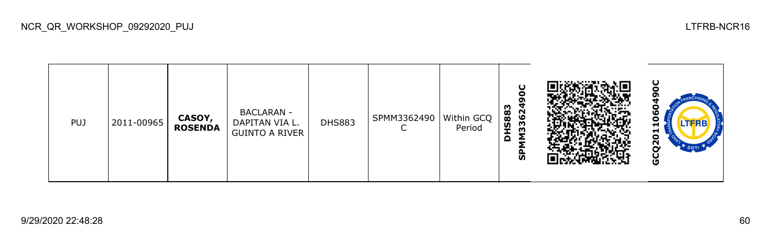| <b>PUJ</b> | 2011-00965 | CASOY,<br><b>ROSENDA</b> | <b>BACLARAN -</b><br>DAPITAN VIA L.<br><b>GUINTO A RIVER</b> | <b>DHS883</b> | SPMM3362490   Within GCQ | Period | ပ<br>с<br>σ<br><b>HS883</b><br>3362<br>Σ<br>$\Omega$<br>ჭ |  | LTERB<br>⊣<br>o<br>N<br>ט |
|------------|------------|--------------------------|--------------------------------------------------------------|---------------|--------------------------|--------|-----------------------------------------------------------|--|---------------------------|
|------------|------------|--------------------------|--------------------------------------------------------------|---------------|--------------------------|--------|-----------------------------------------------------------|--|---------------------------|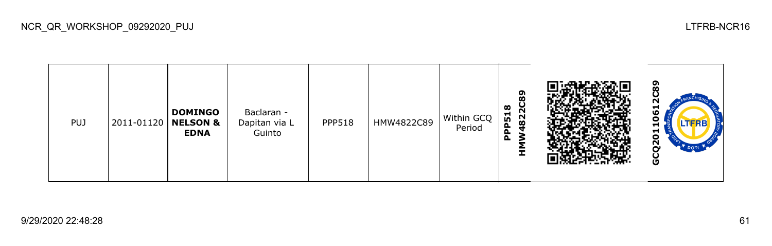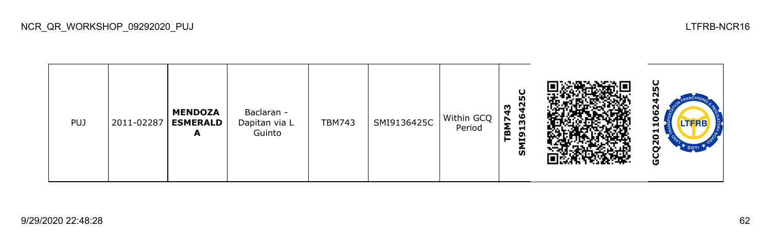| <b>PUJ</b> | 2011-02287 | <b>MENDOZA</b><br><b>ESMERALD</b><br>A | Baclaran -<br>Dapitan via L<br>Guinto | <b>TBM743</b> | SMI9136425C | Within GCQ<br>Period | ပ္စ<br>$\mathbf{r}$<br>ო<br>ဖ<br>$\blacksquare$<br>$\mathbf{\bar{m}}$<br>ВM<br>191<br><u>ທ</u> |  | ပ<br>m<br>N<br>$\boldsymbol{\omega}$<br>o<br>LTFRB<br>−<br>5<br><u>გ</u><br>$T$ DOTT<br>O |
|------------|------------|----------------------------------------|---------------------------------------|---------------|-------------|----------------------|------------------------------------------------------------------------------------------------|--|-------------------------------------------------------------------------------------------|
|------------|------------|----------------------------------------|---------------------------------------|---------------|-------------|----------------------|------------------------------------------------------------------------------------------------|--|-------------------------------------------------------------------------------------------|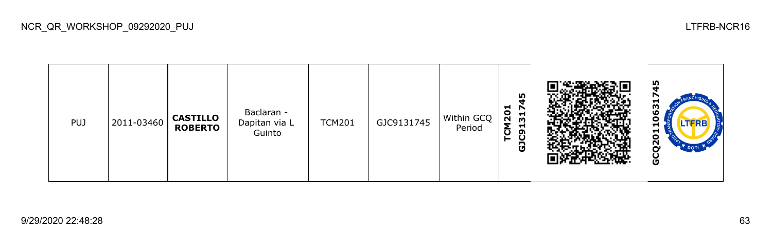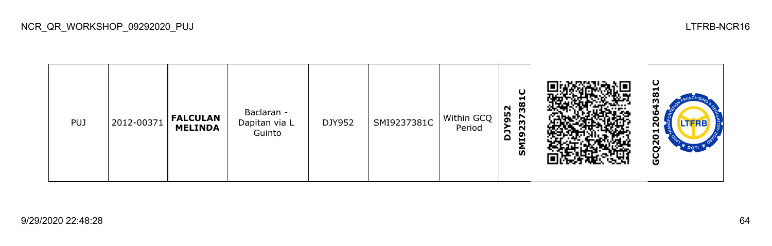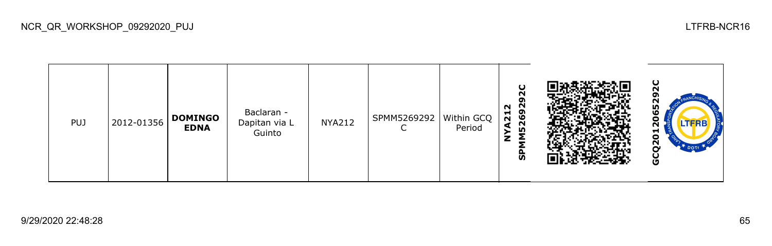

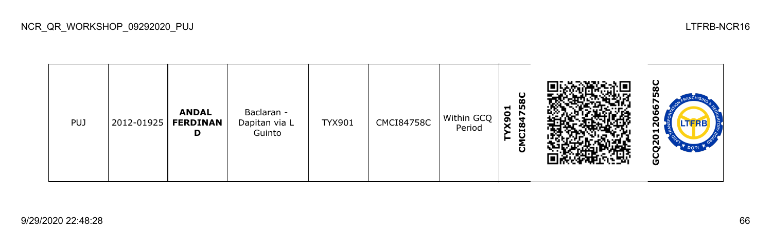| <b>PUJ</b> | 2012-01925 | <b>ANDAL</b><br><b>FERDINAN</b><br>D | Baclaran -<br>Dapitan via L<br>Guinto | <b>TYX901</b> | <b>CMCI84758C</b> | Within GCQ<br>Period | ပ<br>ထ<br>m<br>$\mathbf{5}^{\circ}$<br><b>1847</b><br>×<br>ō |  | 8C<br>ഗ<br>ဖ<br>$\boldsymbol{\omega}$<br>LTERB<br>N<br>т<br>o<br>$\mathbf{z}$<br>U<br>O |
|------------|------------|--------------------------------------|---------------------------------------|---------------|-------------------|----------------------|--------------------------------------------------------------|--|-----------------------------------------------------------------------------------------|
|------------|------------|--------------------------------------|---------------------------------------|---------------|-------------------|----------------------|--------------------------------------------------------------|--|-----------------------------------------------------------------------------------------|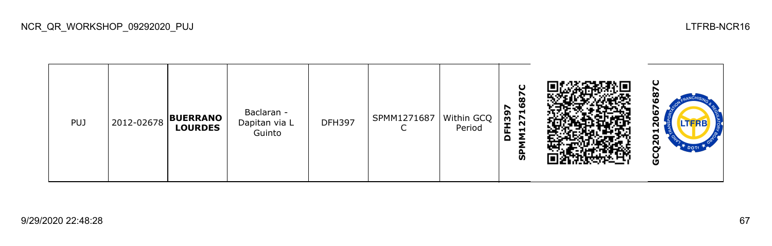| <b>PUJ</b> |  | 2012-02678 BUERRANO<br><b>LOURDES</b> | Baclaran -<br>Dapitan via L<br>Guinto | <b>DFH397</b> | SPMM1271687 | Within GCQ<br>Period | O<br>r<br>$\boldsymbol{\infty}$<br>O<br>r<br>−<br>႙<br>27<br>I<br>⊣<br>щ.<br>o<br>င္ဟ |  | ပ<br>ထ<br>ഥ<br>∼<br>۱O<br>o<br>ี่<br>런<br>ο<br>$\tilde{\mathbf{S}}$<br>DOTE<br>U |
|------------|--|---------------------------------------|---------------------------------------|---------------|-------------|----------------------|---------------------------------------------------------------------------------------|--|----------------------------------------------------------------------------------|
|------------|--|---------------------------------------|---------------------------------------|---------------|-------------|----------------------|---------------------------------------------------------------------------------------|--|----------------------------------------------------------------------------------|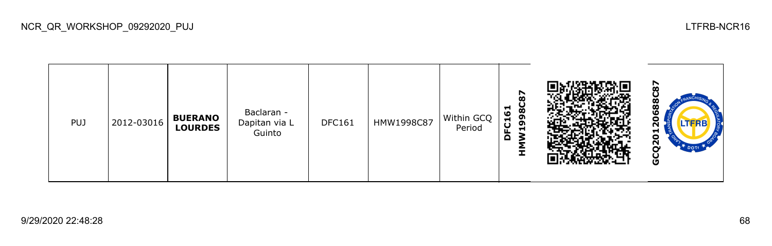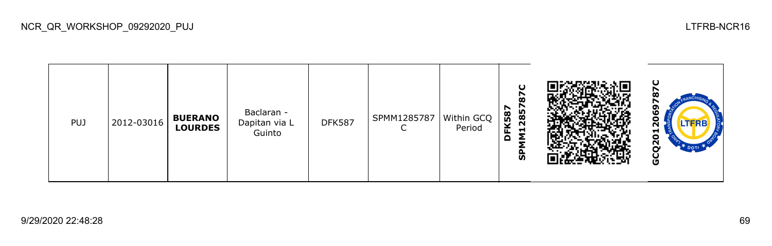| <b>PUJ</b> | 2012-03016 | <b>BUERANO</b><br><b>LOURDES</b> | Baclaran -<br>Dapitan via L<br>Guinto | <b>DFK587</b> | SPMM1285787 | Within GCQ<br>Period | O<br>$\boldsymbol{\delta}$<br>2857<br>N<br><b>FK587</b><br>⊣<br>o<br>င္ဟ |  | ပ<br>ຫ<br>۱O<br>o<br>H<br>o<br>$\overline{2}$<br>DOT<br>ט |
|------------|------------|----------------------------------|---------------------------------------|---------------|-------------|----------------------|--------------------------------------------------------------------------|--|-----------------------------------------------------------|
|------------|------------|----------------------------------|---------------------------------------|---------------|-------------|----------------------|--------------------------------------------------------------------------|--|-----------------------------------------------------------|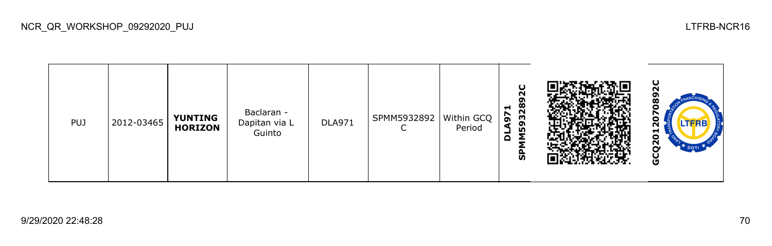| <b>PUJ</b> | 2012-03465 | <b>YUNTING</b><br><b>HORIZON</b> | Baclaran -<br>Dapitan via L<br>Guinto | <b>DLA971</b> | SPMM5932892<br>◡ | Within GCQ<br>Period | ပ<br>N<br>ō<br>28<br>$\mathbf{5}$<br>Ŵ<br>59<br>Σ<br>$\Omega$<br>င္ဟ |  | ပ<br>N<br>œ<br>LTFRB<br>ี<br>−<br>ο<br>N<br>⌒<br>O |
|------------|------------|----------------------------------|---------------------------------------|---------------|------------------|----------------------|----------------------------------------------------------------------|--|----------------------------------------------------|
|------------|------------|----------------------------------|---------------------------------------|---------------|------------------|----------------------|----------------------------------------------------------------------|--|----------------------------------------------------|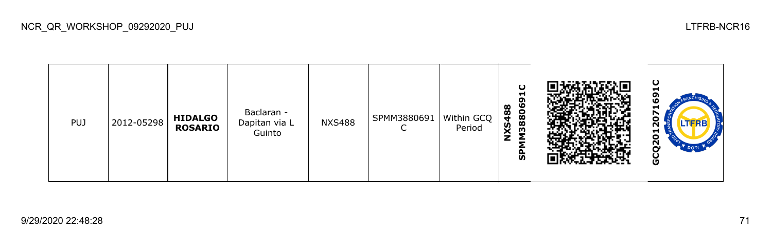| <b>PUJ</b> | 2012-05298 | <b>HIDALGO</b><br><b>ROSARIO</b> | Baclaran -<br>Dapitan via L<br>Guinto | <b>NXS488</b> | SPMM3880691 | Within GCQ<br>Period | O<br>−<br>o<br>M38806<br><b>XS488</b><br>င္ဟ |  | ပ<br>-<br>o<br>ω<br>H<br>o<br>LTFRB<br>N<br>⊣<br>o<br>$\overline{2}$<br><b>DOTE</b><br>O |
|------------|------------|----------------------------------|---------------------------------------|---------------|-------------|----------------------|----------------------------------------------|--|------------------------------------------------------------------------------------------|
|------------|------------|----------------------------------|---------------------------------------|---------------|-------------|----------------------|----------------------------------------------|--|------------------------------------------------------------------------------------------|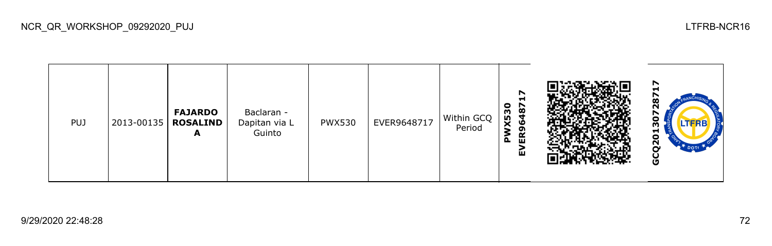| <b>PUJ</b> | 2013-00135 | <b>FAJARDO</b><br><b>ROSALIND</b><br>A | Baclaran -<br>Dapitan via L<br>Guinto | <b>PWX530</b> | EVER9648717 | Within GCQ<br>Period | ↖<br>ᆋ<br>$\bullet$<br>487<br>X53<br>G<br>₹<br>ĚŔ<br>മ<br>ĹШ |  | N<br>œ<br>o<br>LTERB<br>ო<br>ᄝ<br>N<br>DOT<br>Ū |
|------------|------------|----------------------------------------|---------------------------------------|---------------|-------------|----------------------|--------------------------------------------------------------|--|-------------------------------------------------|
|------------|------------|----------------------------------------|---------------------------------------|---------------|-------------|----------------------|--------------------------------------------------------------|--|-------------------------------------------------|

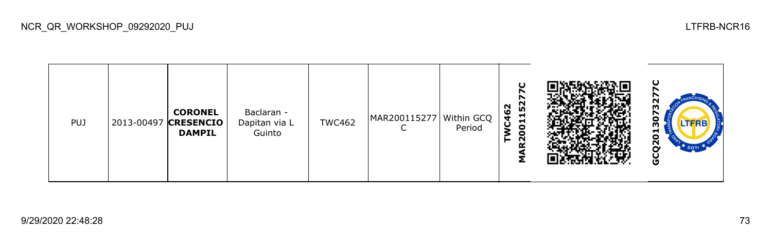| <b>PUJ</b> |  | <b>CORONEL</b><br>2013-00497 CRESENCIO<br><b>DAMPIL</b> | Baclaran -<br>Dapitan via L<br>Guinto | <b>TWC462</b> | MAR200115277   Within GCQ | Period | ပ<br>52<br>N<br>$\frac{6}{7}$<br>Н<br>Н<br>ັບ<br>$\bullet$<br>۰<br>$\sim$<br>α<br>∠ |  | ပ<br>ū<br>m<br>↖<br>о<br>LTERE<br>m<br>−<br>o<br>$\overline{S}$<br><b>DOTE</b><br>O |
|------------|--|---------------------------------------------------------|---------------------------------------|---------------|---------------------------|--------|-------------------------------------------------------------------------------------|--|-------------------------------------------------------------------------------------|
|------------|--|---------------------------------------------------------|---------------------------------------|---------------|---------------------------|--------|-------------------------------------------------------------------------------------|--|-------------------------------------------------------------------------------------|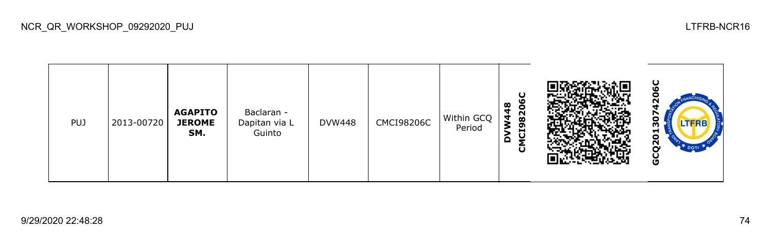| <b>PUJ</b> | 2013-00720 | <b>AGAPITO</b><br><b>JEROME</b><br>SM. | Baclaran -<br>Dapitan via L<br>Guinto | <b>DVW448</b> | <b>CMCI98206C</b> | Within GCQ<br>Period | ပ<br>∞<br>820<br>$\overline{\bf{4}}$<br>2<br>ဌ<br>ပ<br>▭<br>O |  | ပ<br>LTFRB<br>m<br>ដ<br>$\overline{2}$<br>O |
|------------|------------|----------------------------------------|---------------------------------------|---------------|-------------------|----------------------|---------------------------------------------------------------|--|---------------------------------------------|
|------------|------------|----------------------------------------|---------------------------------------|---------------|-------------------|----------------------|---------------------------------------------------------------|--|---------------------------------------------|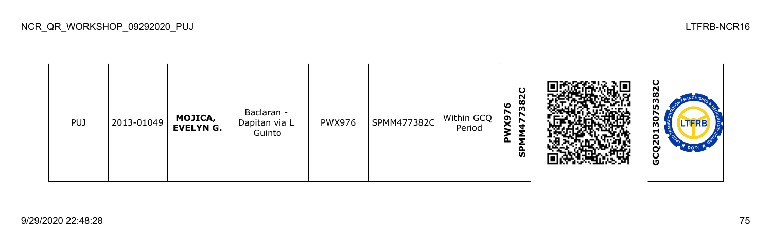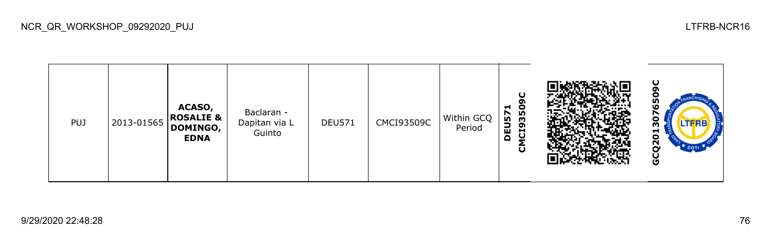NCR\_QR\_WORKSHOP\_09292020\_PUJ LTFRB-NCR16

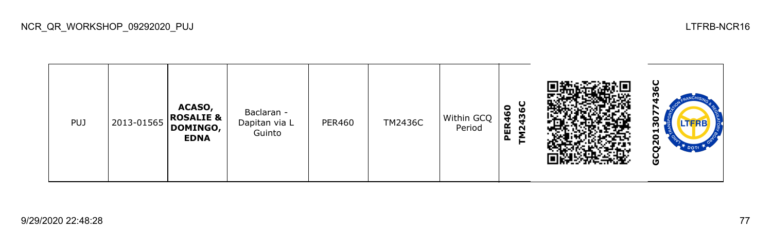NCR\_QR\_WORKSHOP\_09292020\_PUJ LTFRB-NCR16

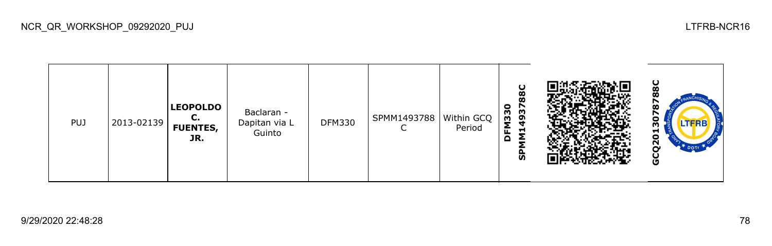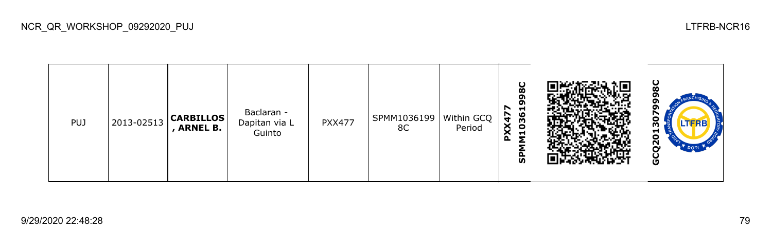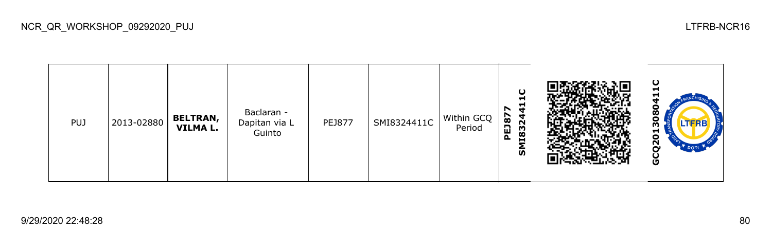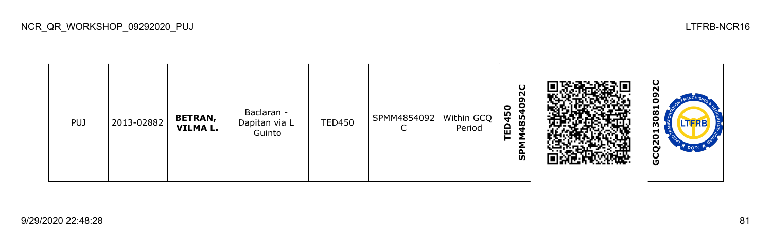| PUJ | 2013-02882 | <b>BETRAN,</b><br><b>VILMA L.</b> | Baclaran -<br>Dapitan via L<br>Guinto | <b>TED450</b> | SPMM4854092 | Within GCQ<br>Period | Ο<br>N<br>å<br>$\bullet$<br>D45<br>85<br>ш<br>−<br>ັທ |  | ပ<br>N<br>σ<br>−<br>$\infty$<br>с<br>m<br>−<br>о<br>N<br>ີ<br>U |
|-----|------------|-----------------------------------|---------------------------------------|---------------|-------------|----------------------|-------------------------------------------------------|--|-----------------------------------------------------------------|
|-----|------------|-----------------------------------|---------------------------------------|---------------|-------------|----------------------|-------------------------------------------------------|--|-----------------------------------------------------------------|

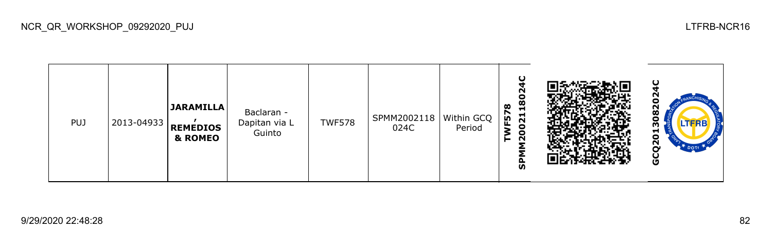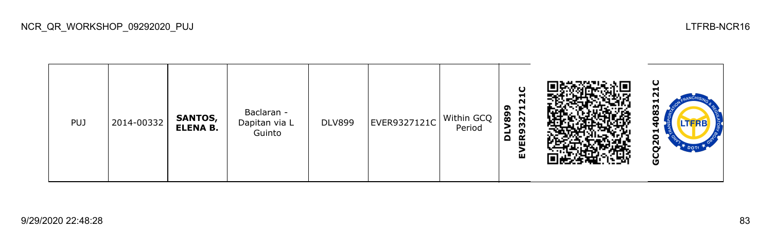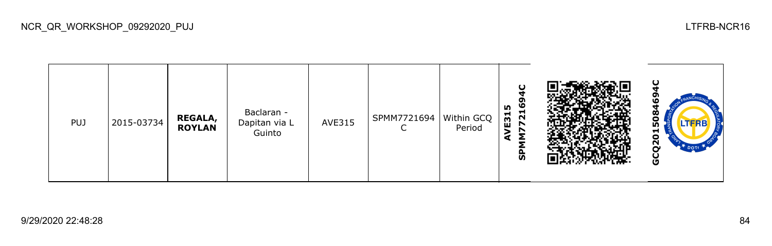

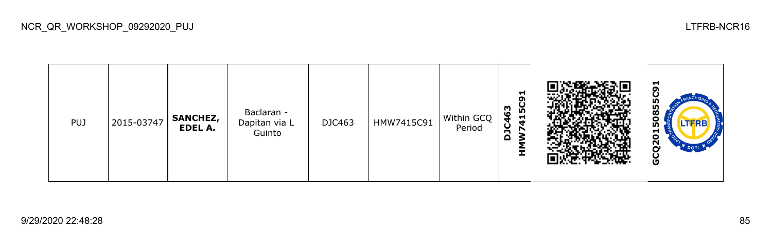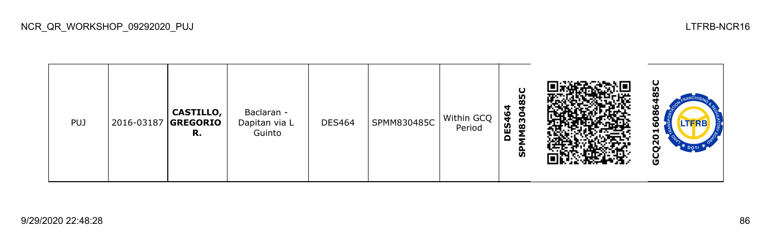| PUJ | 2016-03187 GREGORIO | <b>CASTILLO,</b><br>R. | Baclaran -<br>Dapitan via L<br>Guinto | <b>DES464</b> | SPMM830485C | Within GCQ<br>Period | ပ<br>۱ñ<br>ч<br>O<br>830<br>ES <sub>4</sub><br>Q<br><u>ທ</u> |  | ပ္စ<br>ഥ<br>$\infty$<br><b>LTFRB</b><br>o<br>−<br>$\circ$<br>$\tilde{\mathbf{z}}$<br>DOT <sub>r</sub><br>U<br>O |
|-----|---------------------|------------------------|---------------------------------------|---------------|-------------|----------------------|--------------------------------------------------------------|--|-----------------------------------------------------------------------------------------------------------------|
|-----|---------------------|------------------------|---------------------------------------|---------------|-------------|----------------------|--------------------------------------------------------------|--|-----------------------------------------------------------------------------------------------------------------|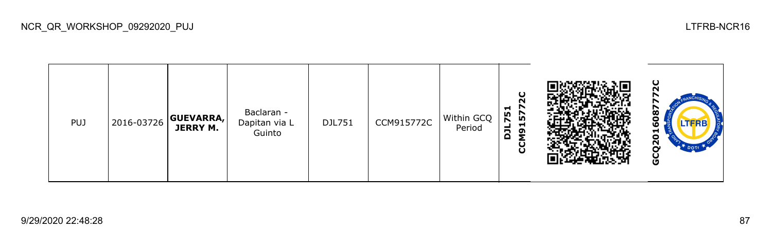**GCQ2016087772C**Ñ **CCM915772C DJL751** Baclaran - 608 PUJ 2016-03726 **GUEVARRA,** DJL751 CCM915772C Within GCQ Dapitan via L **JERRY M.** Period Guinto GCQ20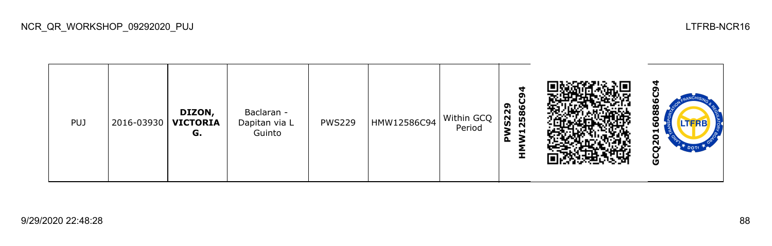| <b>PUJ</b> | 2016-03930 | DIZON,<br><b>VICTORIA</b><br>G. | Baclaran -<br>Dapitan via L<br>Guinto | <b>PWS229</b> | HMW12586C94 | Within GCQ<br>Period | ч<br>ᡡ<br>2586<br>S <sub>22</sub><br>−<br>മ |  | ഥ<br>$\overline{\mathbf{8}}$<br>o<br>o<br>Ξ<br>0<br>$\bar{\mathbf{c}}$<br>DOTT<br>ט |
|------------|------------|---------------------------------|---------------------------------------|---------------|-------------|----------------------|---------------------------------------------|--|-------------------------------------------------------------------------------------|
|------------|------------|---------------------------------|---------------------------------------|---------------|-------------|----------------------|---------------------------------------------|--|-------------------------------------------------------------------------------------|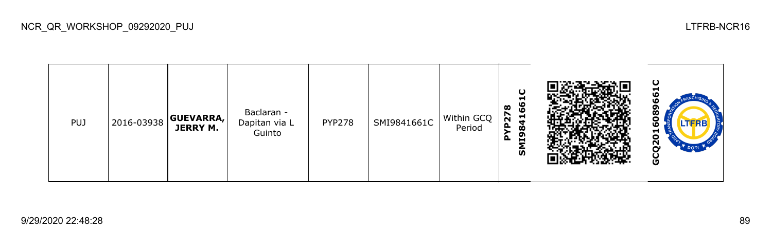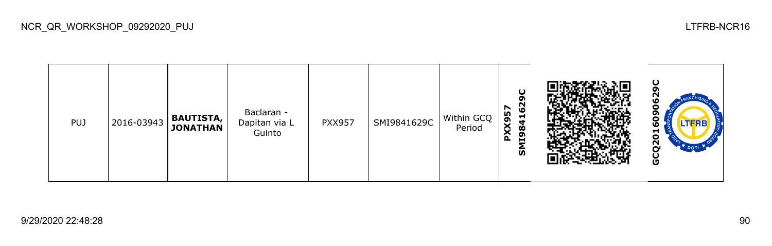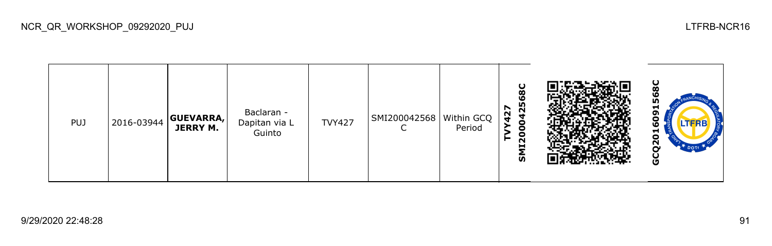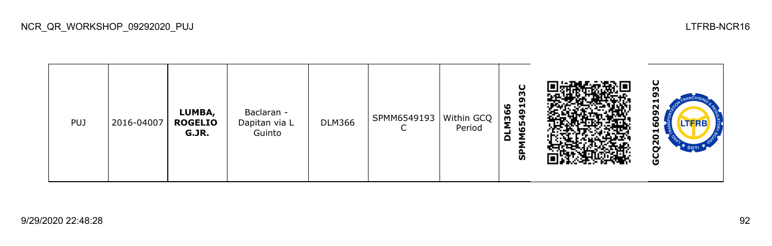| <b>PUJ</b> | 2016-04007 | LUMBA,<br><b>ROGELIO</b><br>G.JR. | Baclaran -<br>Dapitan via L<br>Guinto | <b>DLM366</b> | SPMM6549193 | Within GCQ<br>Period | ပ<br>m<br>o<br>65491<br>١O<br>M36<br>Σ<br>≏<br>င္ဟ |  | ပ<br>w<br>−<br>N<br>໑<br>с<br><b>LTFRB</b><br>5<br>$\overline{Q}$<br><b>T</b> DOTI<br>ပ<br>O |
|------------|------------|-----------------------------------|---------------------------------------|---------------|-------------|----------------------|----------------------------------------------------|--|----------------------------------------------------------------------------------------------|
|------------|------------|-----------------------------------|---------------------------------------|---------------|-------------|----------------------|----------------------------------------------------|--|----------------------------------------------------------------------------------------------|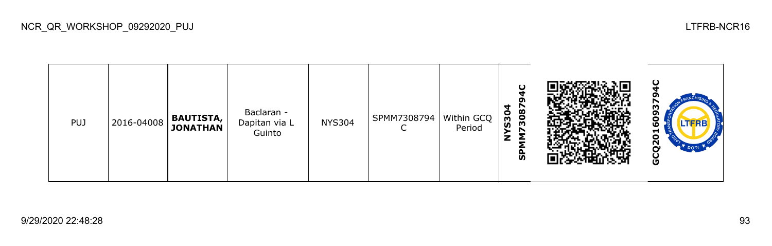| <b>PUJ</b> | 2016-04008 | <b>BAUTISTA,</b><br><b>JONATHAN</b> | Baclaran -<br>Dapitan via L<br>Guinto | <b>NYS304</b> | SPMM7308794<br>⌒<br>◡ | Within GCQ<br>Period | O<br>3087<br>4<br>S30<br>z<br>င္ဟ |  | O<br>m<br>o<br>o<br>TFRB<br>ဖ<br>≖<br>o<br>Ν<br>DOT<br>U |
|------------|------------|-------------------------------------|---------------------------------------|---------------|-----------------------|----------------------|-----------------------------------|--|----------------------------------------------------------|
|------------|------------|-------------------------------------|---------------------------------------|---------------|-----------------------|----------------------|-----------------------------------|--|----------------------------------------------------------|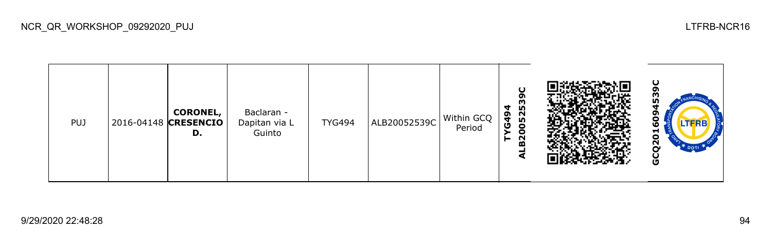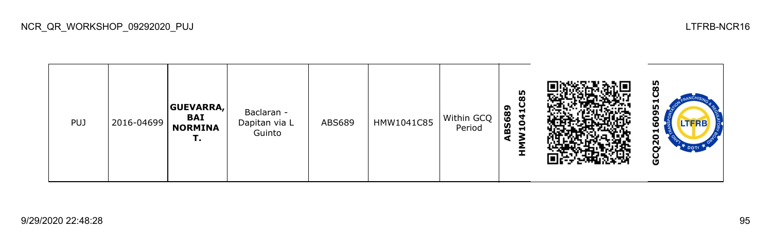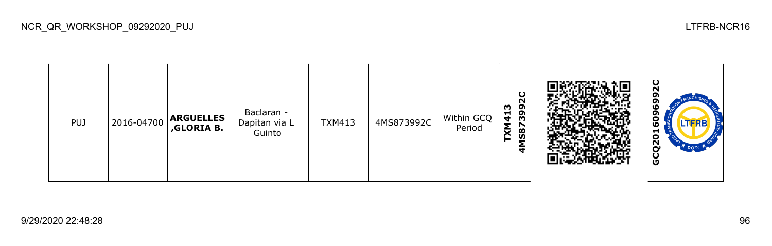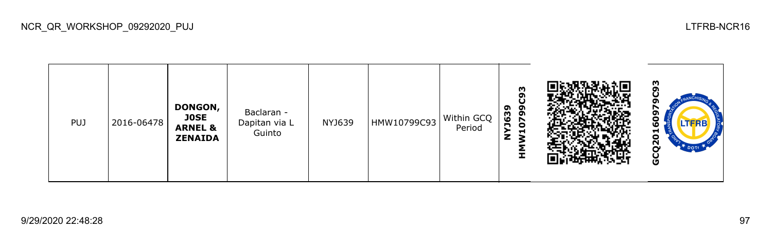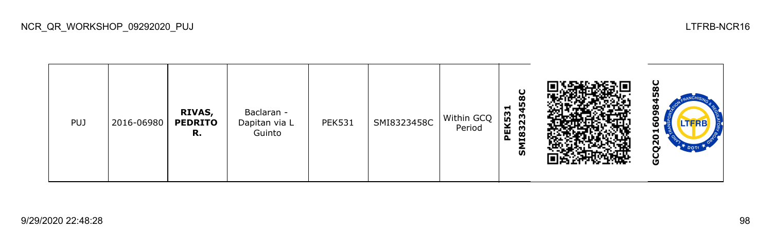| <b>PUJ</b> | 2016-06980 | RIVAS,<br><b>PEDRITO</b><br>R. | Baclaran -<br>Dapitan via L<br>Guinto | <b>PEK531</b> | SMI8323458C | Within GCQ<br>Period | ပ<br>œ<br>45<br>−<br>PEK53<br>118323<br>ົທ |  | ပ<br>Ō.<br>œ<br>ဖ<br>5<br>$\overline{2}$<br>Ū |
|------------|------------|--------------------------------|---------------------------------------|---------------|-------------|----------------------|--------------------------------------------|--|-----------------------------------------------|
|------------|------------|--------------------------------|---------------------------------------|---------------|-------------|----------------------|--------------------------------------------|--|-----------------------------------------------|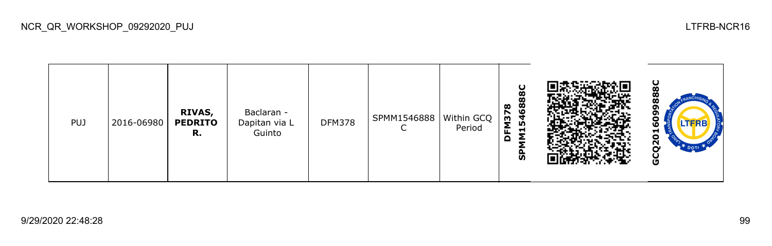| <b>PUJ</b> | 2016-06980 | <b>RIVAS,</b><br><b>PEDRITO</b><br>R. | Baclaran -<br>Dapitan via L<br>Guinto | <b>DFM378</b> | SPMM1546888 | Within GCQ<br>Period | u<br>œ<br>œ<br>15468<br>$\infty$<br>M37<br>o<br>င္ဟ |  | ပ<br>Õ<br>œ<br>œ<br>w<br>−<br>o<br><u>လ</u><br>DOTT<br>ပ<br>O |
|------------|------------|---------------------------------------|---------------------------------------|---------------|-------------|----------------------|-----------------------------------------------------|--|---------------------------------------------------------------|
|------------|------------|---------------------------------------|---------------------------------------|---------------|-------------|----------------------|-----------------------------------------------------|--|---------------------------------------------------------------|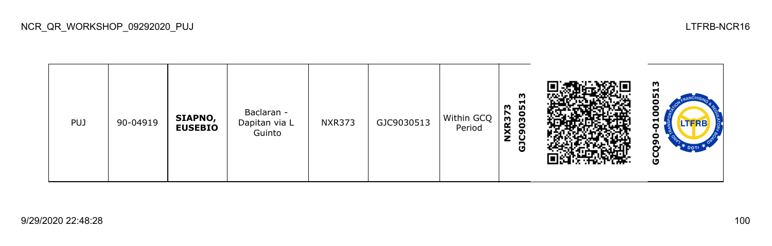

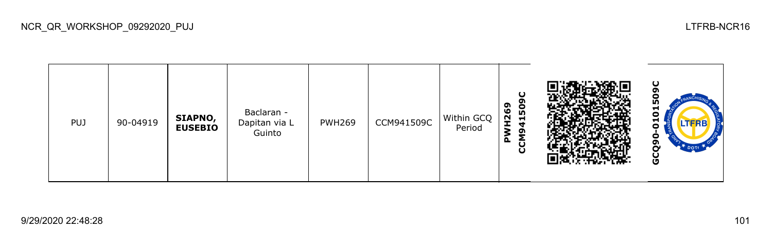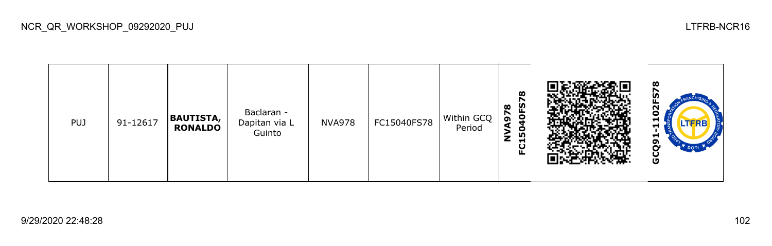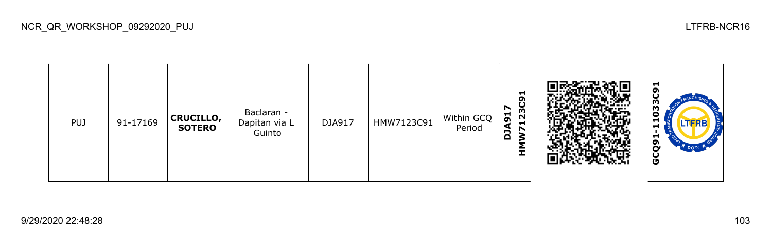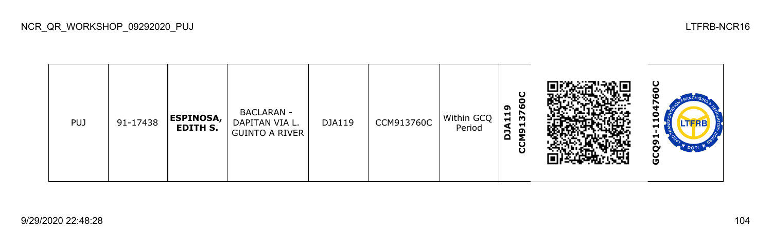| <b>PUJ</b> | 91-17438 | <b>ESPINOSA,</b><br>EDITH S. | <b>BACLARAN -</b><br>DAPITAN VIA L.<br><b>GUINTO A RIVER</b> | DJA119 | CCM913760C | Within GCQ<br>Period | ပ<br>o<br>ဖ<br>໑<br>$\frac{11}{5}$<br>H<br>Α<br>δM<br>g |  | ပ<br>.TFRB<br>⊣<br>໑<br>္ပြ |
|------------|----------|------------------------------|--------------------------------------------------------------|--------|------------|----------------------|---------------------------------------------------------|--|-----------------------------|
|------------|----------|------------------------------|--------------------------------------------------------------|--------|------------|----------------------|---------------------------------------------------------|--|-----------------------------|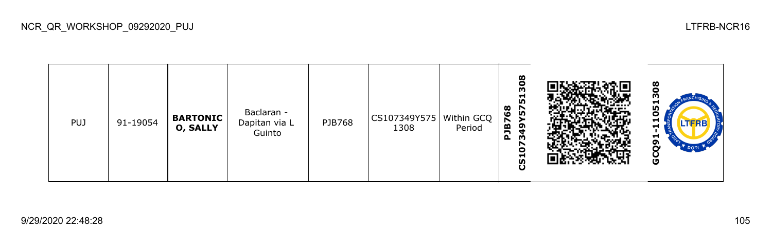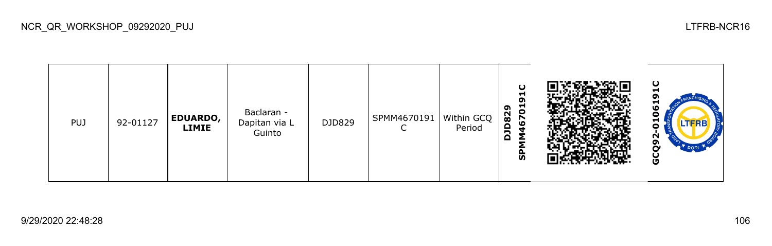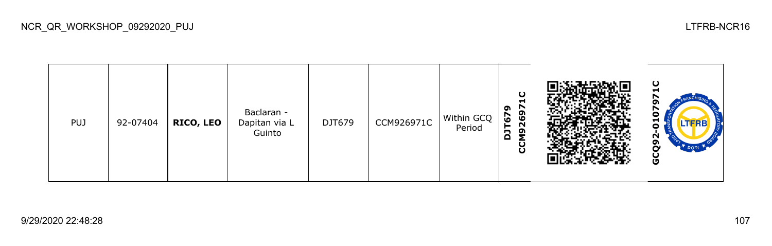| <b>PUJ</b> | 92-07404 | <b>RICO, LEO</b> | Baclaran -<br>Dapitan via L<br>Guinto | DJT679 | CCM926971C | Within GCQ<br>Period | ပ<br>Н<br>r<br>ີ<br>o,<br>r<br>ဖ<br>ဖ<br>$\overline{\mathsf{N}}$<br>δN<br>2<br>ပ္ပ |  | ပ<br>−<br>o<br>LTFRB<br>Ν<br>o<br><b>T</b> DOTT<br>Ū |
|------------|----------|------------------|---------------------------------------|--------|------------|----------------------|------------------------------------------------------------------------------------|--|------------------------------------------------------|
|------------|----------|------------------|---------------------------------------|--------|------------|----------------------|------------------------------------------------------------------------------------|--|------------------------------------------------------|

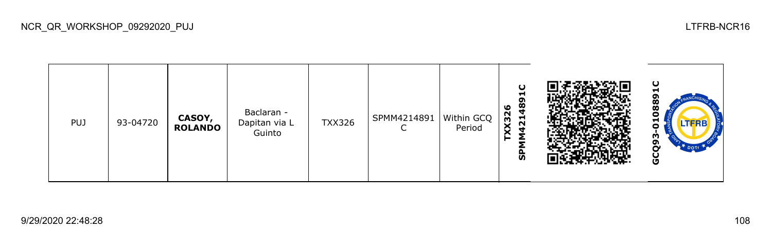

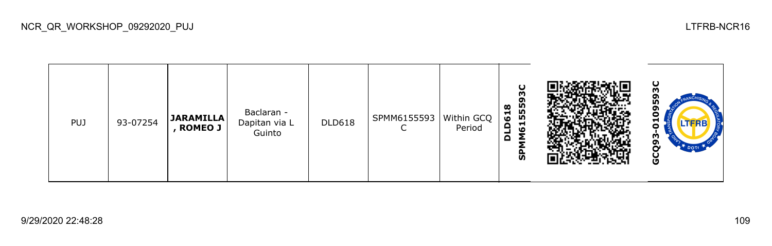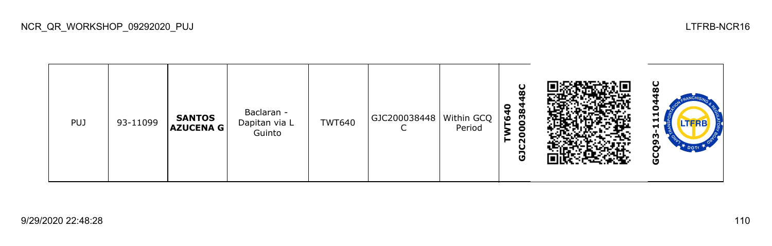ပ္စ **GCQ93-1110448CGJC200038448C TWT640** Baclaran - PUJ 93-11099 **SANTOS**  TWT640 GJC200038448 Within GCQ Dapitan via L **AZUCENA G**  $\mathsf{C}$ Period Guinto GCQ93-

NCR\_QR\_WORKSHOP\_09292020\_PUJ LTFRB-NCR16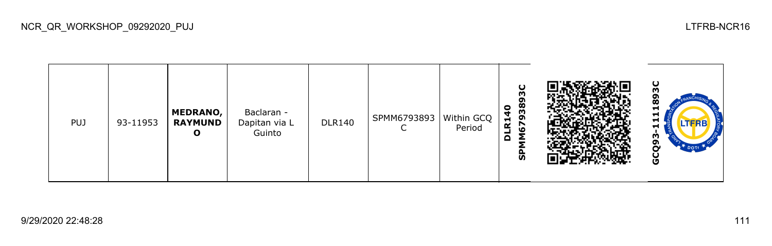| <b>PUJ</b> | 93-11953 | <b>MEDRANO,</b><br><b>RAYMUND</b><br>Ο | Baclaran -<br>Dapitan via L<br>Guinto | <b>DLR140</b> | SPMM6793893 | Within GCQ<br>Period | O<br>m<br>o<br>38<br>$\bullet$<br>ِهِ<br>$\mathbf{r}$<br><u>e</u><br>-<br>$\Omega$<br>←<br>ჭ |  | ပ<br>o<br>œ<br>−<br>÷<br>u<br>.TFRB<br>⊣<br>w<br>ີ<br><b>DOTI</b><br>Ō |
|------------|----------|----------------------------------------|---------------------------------------|---------------|-------------|----------------------|----------------------------------------------------------------------------------------------|--|------------------------------------------------------------------------|
|------------|----------|----------------------------------------|---------------------------------------|---------------|-------------|----------------------|----------------------------------------------------------------------------------------------|--|------------------------------------------------------------------------|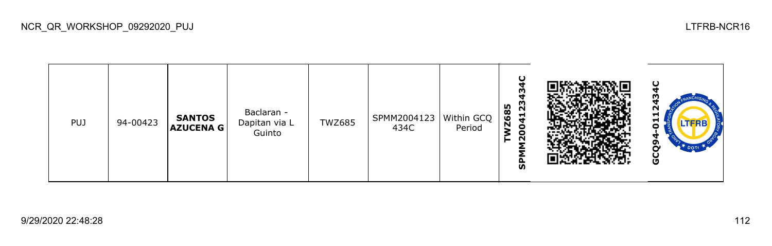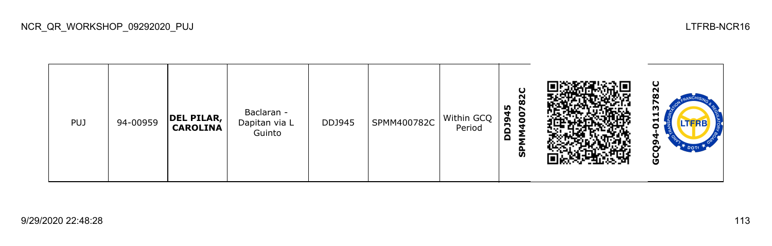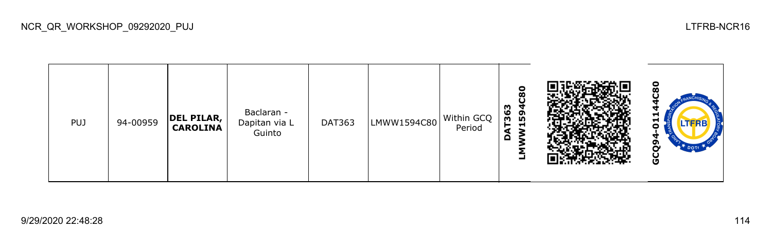

NCR\_QR\_WORKSHOP\_09292020\_PUJ LTFRB-NCR16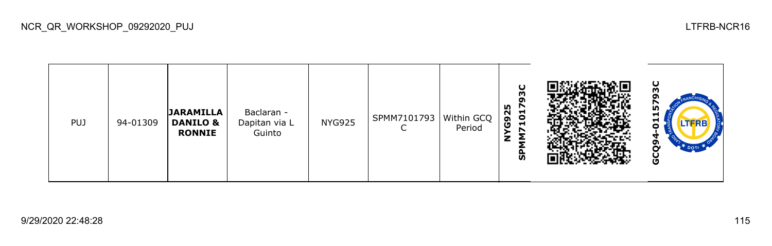| <b>PUJ</b> | 94-01309 | <b>JARAMILLA</b><br><b>DANILO &amp;</b><br><b>RONNIE</b> | Baclaran -<br>Dapitan via L<br>Guinto | <b>NYG925</b> | SPMM7101793   Within GCQ | Period | U<br>m<br>ຸດ<br>m<br>$\overline{5}$<br>$\sim$<br>$\overline{6}$<br>$\blacksquare$<br>z<br>ჭ |  | ပ<br>m<br>ᆋ<br>⊣<br><b>LTFRB</b><br>Ξ<br>မိ |
|------------|----------|----------------------------------------------------------|---------------------------------------|---------------|--------------------------|--------|---------------------------------------------------------------------------------------------|--|---------------------------------------------|
|------------|----------|----------------------------------------------------------|---------------------------------------|---------------|--------------------------|--------|---------------------------------------------------------------------------------------------|--|---------------------------------------------|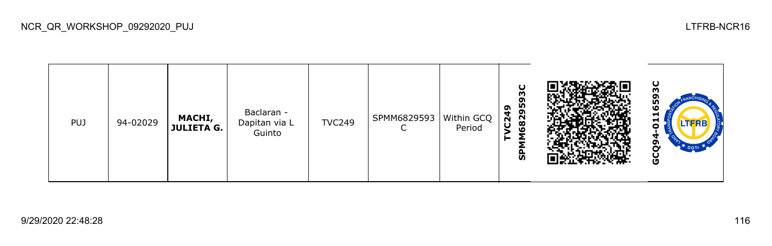

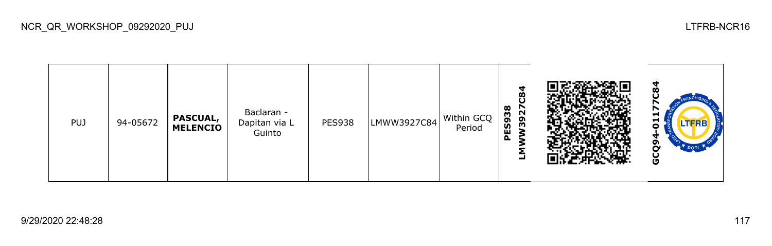

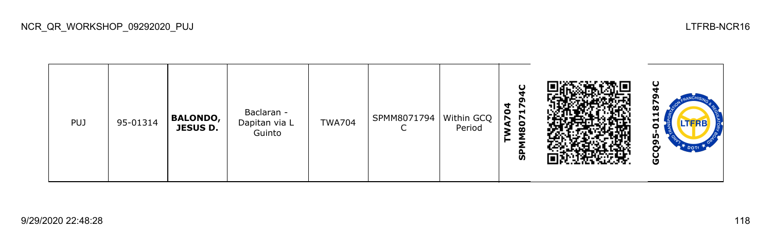

NCR\_QR\_WORKSHOP\_09292020\_PUJ LTFRB-NCR16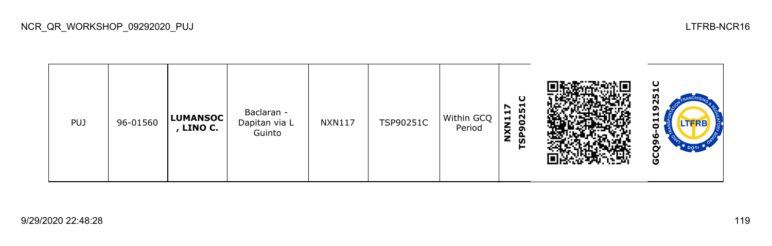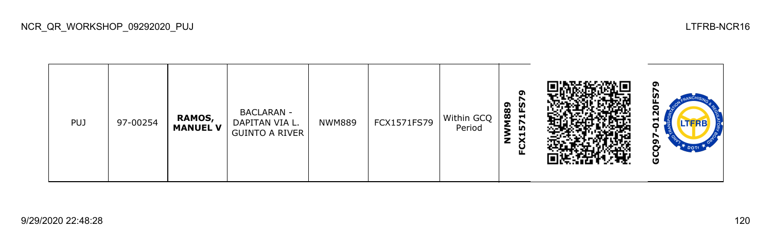| <b>PUJ</b> | 97-00254 | <b>RAMOS,</b><br><b>MANUEL V</b> | <b>BACLARAN -</b><br>DAPITAN VIA L.<br><b>GUINTO A RIVER</b> | <b>NWM889</b> | FCX1571FS79 | Within GCQ<br>Period | ໑<br>1FS7<br>1889<br><u>n</u><br>Σ<br>−<br>×<br>z<br>ட |  | o<br>о<br>Ν<br>П<br><b>LTFRB</b><br>o<br>N<br>o<br>~<br><b>DOT</b><br>O |
|------------|----------|----------------------------------|--------------------------------------------------------------|---------------|-------------|----------------------|--------------------------------------------------------|--|-------------------------------------------------------------------------|
|------------|----------|----------------------------------|--------------------------------------------------------------|---------------|-------------|----------------------|--------------------------------------------------------|--|-------------------------------------------------------------------------|

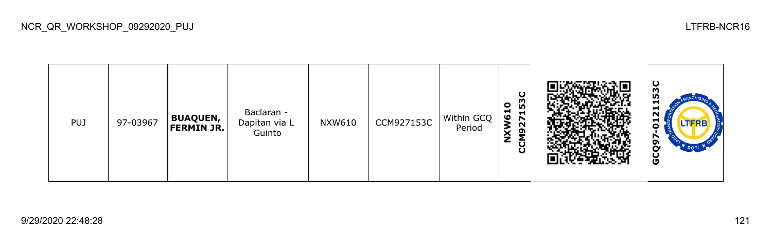

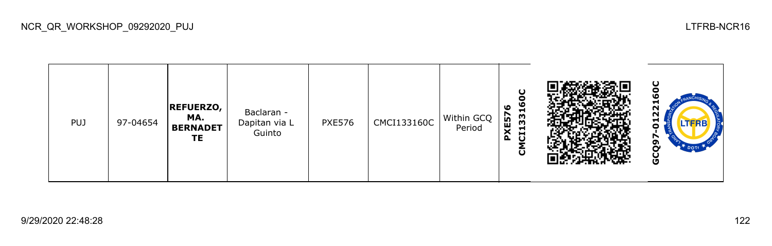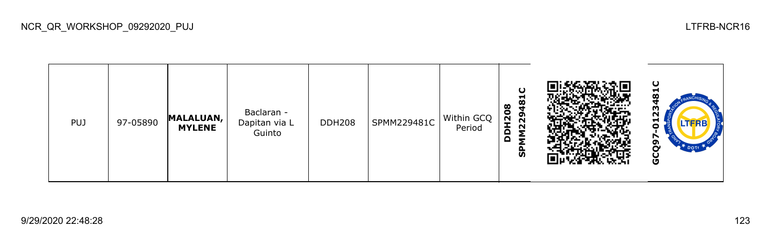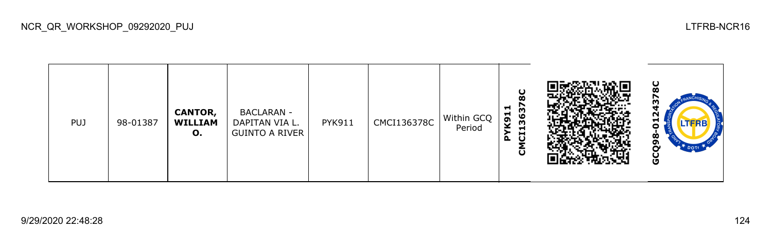| <b>PUJ</b> | 98-01387 | <b>CANTOR,</b><br><b>WILLIAM</b><br>О. | <b>BACLARAN -</b><br>DAPITAN VIA L.<br><b>GUINTO A RIVER</b> | <b>PYK911</b> | CMCI136378C | Within GCQ<br>Period | 8C<br>637<br>H.<br>K91<br>m<br>−<br>đ<br>മ<br>ō |  | ပ<br>m<br><b>LTFRB</b><br>−<br>Ò,<br>ດາ<br>DOTT<br>Ū |
|------------|----------|----------------------------------------|--------------------------------------------------------------|---------------|-------------|----------------------|-------------------------------------------------|--|------------------------------------------------------|
|------------|----------|----------------------------------------|--------------------------------------------------------------|---------------|-------------|----------------------|-------------------------------------------------|--|------------------------------------------------------|

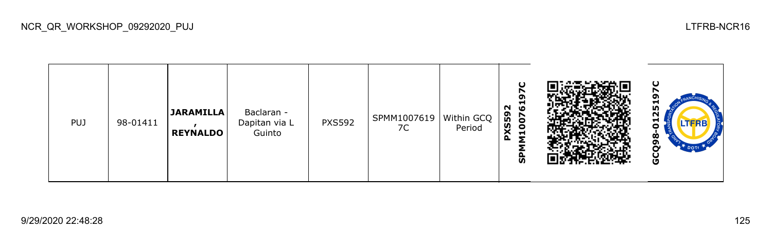| <b>PUJ</b> | 98-01411 | <b>JARAMILLA</b><br><b>REYNALDO</b> | Baclaran -<br>Dapitan via L<br>Guinto | <b>PXS592</b> | SPMM1007619   Within GCQ<br>7C | Period | $\mathbf C$<br>r<br>໑<br>- ම<br>$\sim$<br>KS59<br>007<br>$\blacksquare$<br>⌒<br>Δ.<br>Σ<br>Δ<br><b>S</b> |  | ပ<br>−<br>25<br>u<br>LTERE<br>o<br>ä<br>σ<br>DOTT<br>Ū |
|------------|----------|-------------------------------------|---------------------------------------|---------------|--------------------------------|--------|----------------------------------------------------------------------------------------------------------|--|--------------------------------------------------------|
|------------|----------|-------------------------------------|---------------------------------------|---------------|--------------------------------|--------|----------------------------------------------------------------------------------------------------------|--|--------------------------------------------------------|

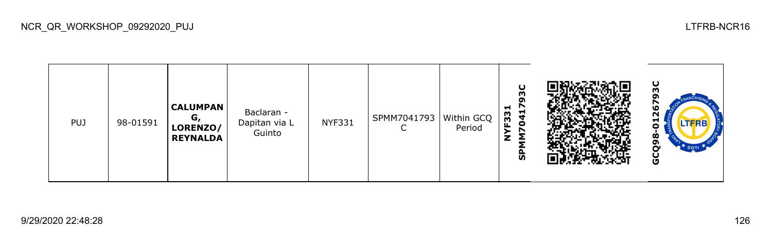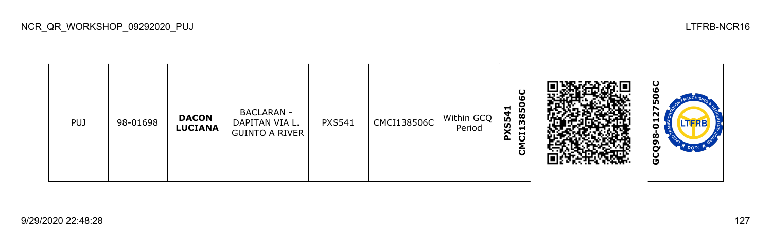| <b>PUJ</b> | 98-01698 | <b>DACON</b><br><b>LUCIANA</b> | <b>BACLARAN -</b><br>DAPITAN VIA L.<br><b>GUINTO A RIVER</b> | <b>PXS541</b> | CMCI138506C | Within GCQ<br>Period | ပ<br>ဖ<br>3850<br>$\blacksquare$<br>4<br>LÃ.<br>XS<br>Н<br>đ<br>$\Delta$<br>ົບ |  | ပ<br>L٨<br>25<br>Ħ<br><b>LTFRB</b><br>o<br>ೲ<br>o<br>n<br>DOTT<br>ပ္ပ |
|------------|----------|--------------------------------|--------------------------------------------------------------|---------------|-------------|----------------------|--------------------------------------------------------------------------------|--|-----------------------------------------------------------------------|
|------------|----------|--------------------------------|--------------------------------------------------------------|---------------|-------------|----------------------|--------------------------------------------------------------------------------|--|-----------------------------------------------------------------------|

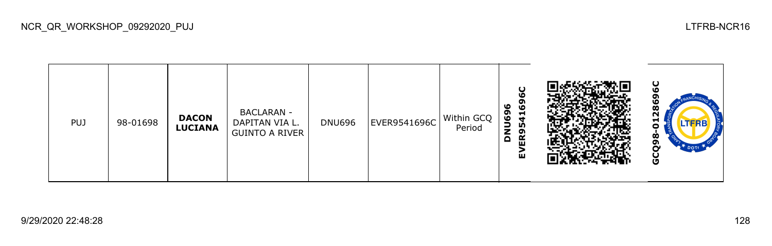| PUJ | 98-01698 | <b>DACON</b><br><b>LUCIANA</b> | <b>BACLARAN -</b><br>DAPITAN VIA L.<br><b>GUINTO A RIVER</b> | <b>DNU696</b> | EVER9541696C | Within GCQ<br>Period | ပ<br>O<br>ິຕ<br>ဖ<br>١O<br>໑<br>Н<br>ق<br>Ч<br>LO,<br>z<br>ຶ<br>$\alpha$<br>Δ<br>ш<br>ш |  | ပ<br>ഥ<br>O<br>œ<br>N<br>-<br>LTFRB<br>Ò<br>o<br>$\tau$ DOTT<br>ט |
|-----|----------|--------------------------------|--------------------------------------------------------------|---------------|--------------|----------------------|-----------------------------------------------------------------------------------------|--|-------------------------------------------------------------------|
|-----|----------|--------------------------------|--------------------------------------------------------------|---------------|--------------|----------------------|-----------------------------------------------------------------------------------------|--|-------------------------------------------------------------------|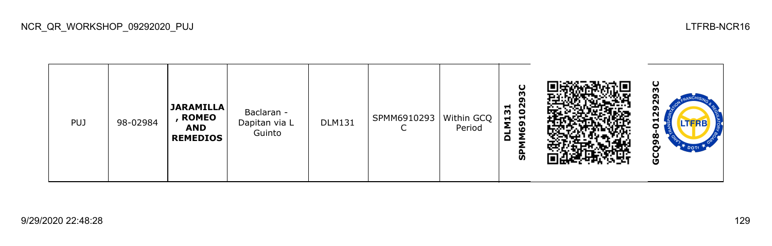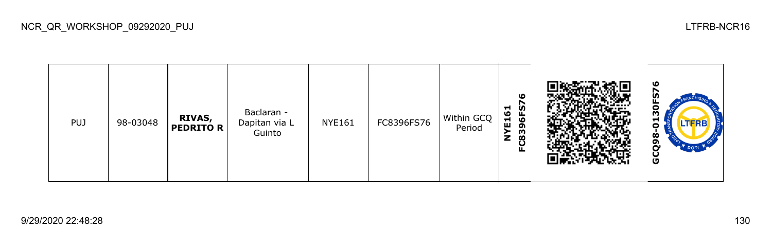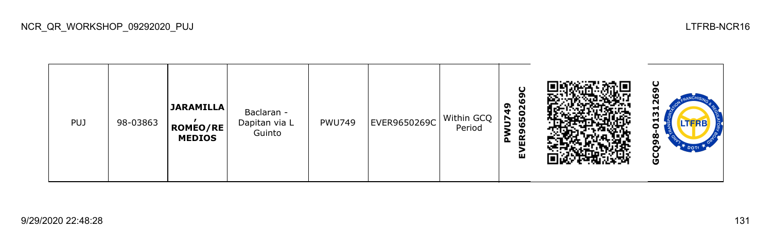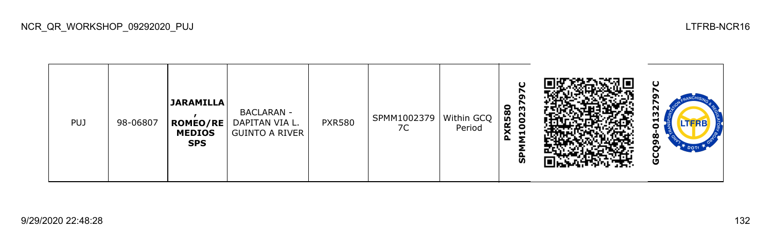| PUJ. | 98-06807 | JARAMILLA<br>ROMEO/RE<br><b>MEDIOS</b><br><b>SPS</b> | <b>BACLARAN -</b><br>DAPITAN VIA L.<br><b>GUINTO A RIVER</b> | <b>PXR580</b> | SPMM1002379<br>7C | Within GCQ<br>Period | $\cup$<br><b>XR580</b><br>m<br>002<br>−<br>$\Delta$<br>ັທ |  | ပ<br>32<br>H<br><b>LTFRB</b><br>o<br>Ò<br>o<br>DOTT <sub>1</sub><br>Ū |
|------|----------|------------------------------------------------------|--------------------------------------------------------------|---------------|-------------------|----------------------|-----------------------------------------------------------|--|-----------------------------------------------------------------------|
|------|----------|------------------------------------------------------|--------------------------------------------------------------|---------------|-------------------|----------------------|-----------------------------------------------------------|--|-----------------------------------------------------------------------|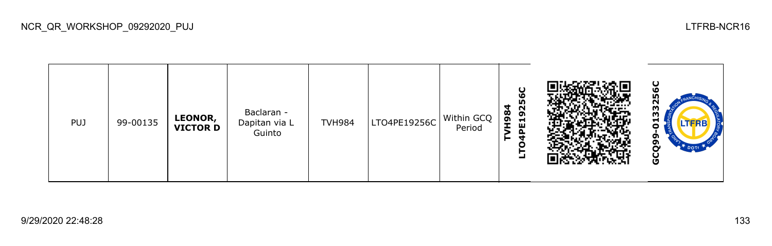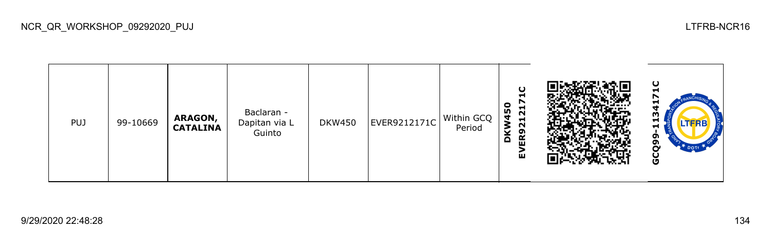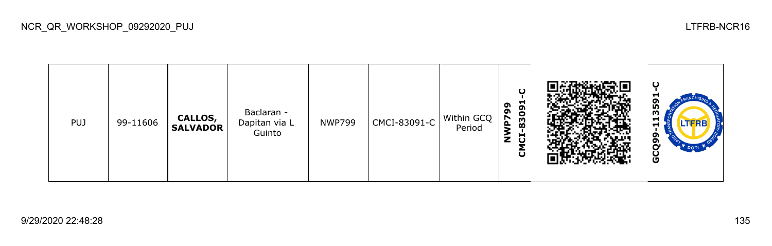

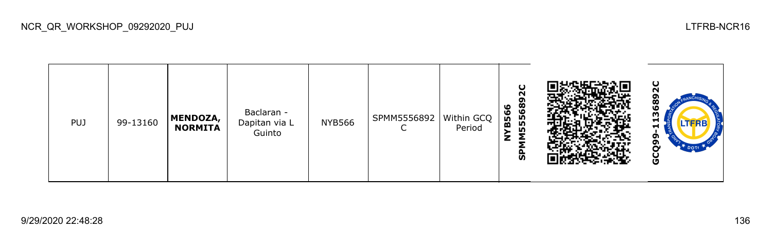

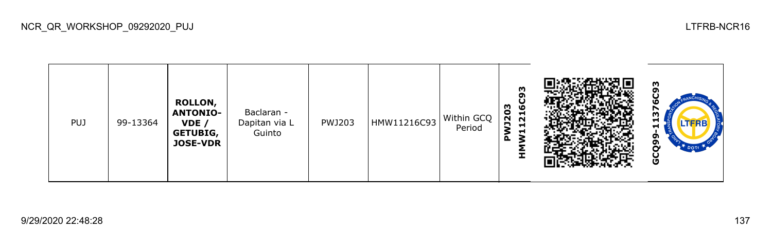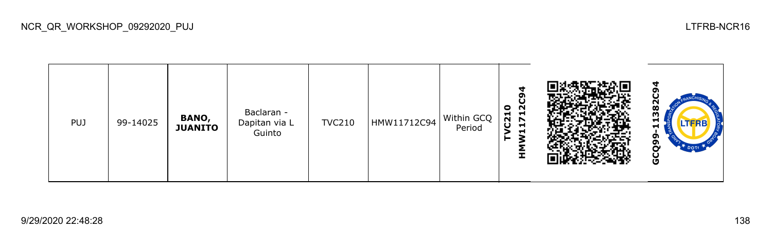